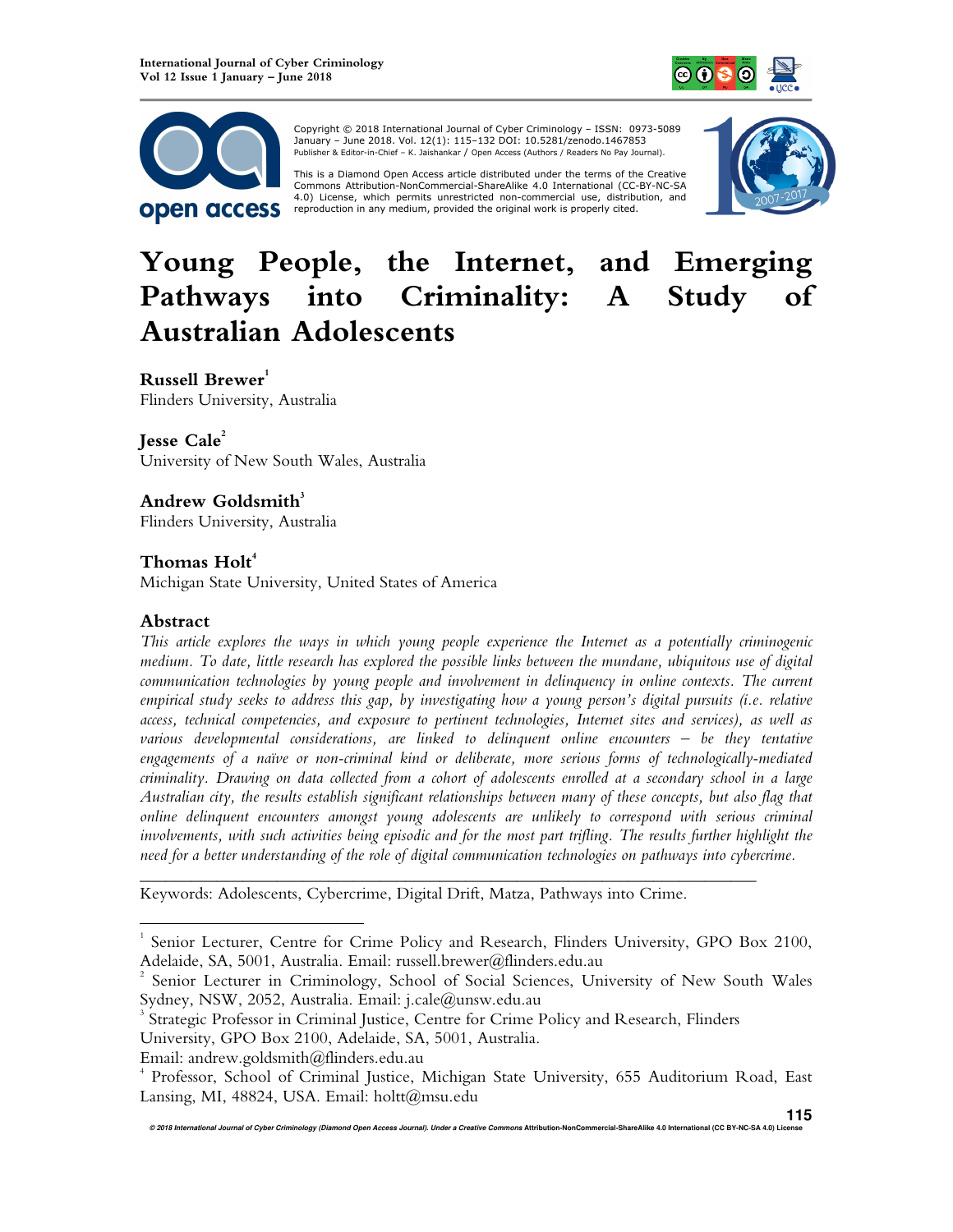



 Copyright © 2018 International Journal of Cyber Criminology – ISSN: 0973-5089 January – June 2018. Vol. 12(1): 115–132 DOI: 10.5281/zenodo.1467853 Publisher & Editor-in-Chief – K. Jaishankar / Open Access (Authors / Readers No Pay Journal).

This is a Diamond Open Access article distributed under the terms of the Creative<br>Commons Attribution-NonCommercial-ShareAlike 4.0 International (CC-BY-NC-SA 4.0) License, which permits unrestricted non-commercial use, distribution, and reproduction in any medium, provided the original work is properly cited.



# **Young People, the Internet, and Emerging Pathways into Criminality: A Study of Australian Adolescents**

# **Russell Brewer<sup>1</sup>**

Flinders University, Australia

# **Jesse Cale<sup>2</sup>**

University of New South Wales, Australia

# **Andrew Goldsmith<sup>3</sup>**

Flinders University, Australia

# **Thomas Holt<sup>4</sup>**

Michigan State University, United States of America

#### **Abstract**

l

*This article explores the ways in which young people experience the Internet as a potentially criminogenic medium. To date, little research has explored the possible links between the mundane, ubiquitous use of digital communication technologies by young people and involvement in delinquency in online contexts. The current empirical study seeks to address this gap, by investigating how a young person's digital pursuits (i.e. relative access, technical competencies, and exposure to pertinent technologies, Internet sites and services), as well as various developmental considerations, are linked to delinquent online encounters – be they tentative engagements of a naïve or non-criminal kind or deliberate, more serious forms of technologically-mediated criminality. Drawing on data collected from a cohort of adolescents enrolled at a secondary school in a large Australian city, the results establish significant relationships between many of these concepts, but also flag that online delinquent encounters amongst young adolescents are unlikely to correspond with serious criminal involvements, with such activities being episodic and for the most part trifling. The results further highlight the need for a better understanding of the role of digital communication technologies on pathways into cybercrime.* 

Keywords: Adolescents, Cybercrime, Digital Drift, Matza, Pathways into Crime.

*\_\_\_\_\_\_\_\_\_\_\_\_\_\_\_\_\_\_\_\_\_\_\_\_\_\_\_\_\_\_\_\_\_\_\_\_\_\_\_\_\_\_\_\_\_\_\_\_\_\_\_\_\_\_\_\_\_\_\_\_\_\_\_\_\_\_\_\_\_\_\_\_* 

<sup>1</sup> Senior Lecturer, Centre for Crime Policy and Research, Flinders University, GPO Box 2100, Adelaide, SA, 5001, Australia. Email: russell.brewer@flinders.edu.au

<sup>2</sup> Senior Lecturer in Criminology, School of Social Sciences, University of New South Wales Sydney, NSW, 2052, Australia. Email: j.cale@unsw.edu.au

<sup>&</sup>lt;sup>3</sup> Strategic Professor in Criminal Justice, Centre for Crime Policy and Research, Flinders

University, GPO Box 2100, Adelaide, SA, 5001, Australia.

Email: andrew.goldsmith@flinders.edu.au

<sup>4</sup> Professor, School of Criminal Justice, Michigan State University, 655 Auditorium Road, East Lansing, MI, 48824, USA. Email: holtt@msu.edu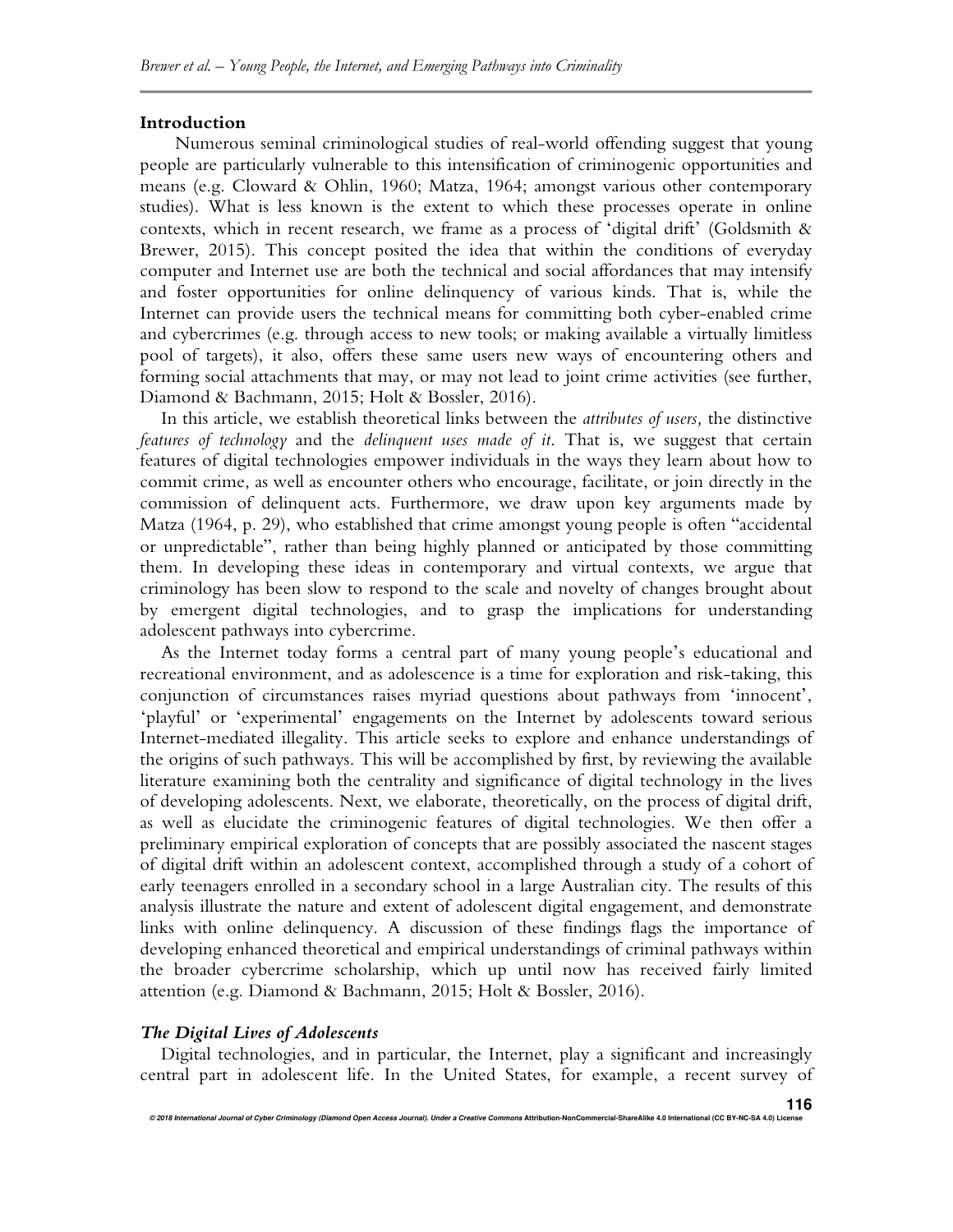#### **Introduction**

Numerous seminal criminological studies of real-world offending suggest that young people are particularly vulnerable to this intensification of criminogenic opportunities and means (e.g. Cloward & Ohlin, 1960; Matza, 1964; amongst various other contemporary studies). What is less known is the extent to which these processes operate in online contexts, which in recent research, we frame as a process of 'digital drift' (Goldsmith & Brewer, 2015). This concept posited the idea that within the conditions of everyday computer and Internet use are both the technical and social affordances that may intensify and foster opportunities for online delinquency of various kinds. That is, while the Internet can provide users the technical means for committing both cyber-enabled crime and cybercrimes (e.g. through access to new tools; or making available a virtually limitless pool of targets), it also, offers these same users new ways of encountering others and forming social attachments that may, or may not lead to joint crime activities (see further, Diamond & Bachmann, 2015; Holt & Bossler, 2016).

In this article, we establish theoretical links between the *attributes of users,* the distinctive *features of technology* and the *delinquent uses made of it*. That is, we suggest that certain features of digital technologies empower individuals in the ways they learn about how to commit crime, as well as encounter others who encourage, facilitate, or join directly in the commission of delinquent acts. Furthermore, we draw upon key arguments made by Matza (1964, p. 29), who established that crime amongst young people is often "accidental or unpredictable", rather than being highly planned or anticipated by those committing them. In developing these ideas in contemporary and virtual contexts, we argue that criminology has been slow to respond to the scale and novelty of changes brought about by emergent digital technologies, and to grasp the implications for understanding adolescent pathways into cybercrime.

As the Internet today forms a central part of many young people's educational and recreational environment, and as adolescence is a time for exploration and risk-taking, this conjunction of circumstances raises myriad questions about pathways from 'innocent', 'playful' or 'experimental' engagements on the Internet by adolescents toward serious Internet-mediated illegality. This article seeks to explore and enhance understandings of the origins of such pathways. This will be accomplished by first, by reviewing the available literature examining both the centrality and significance of digital technology in the lives of developing adolescents. Next, we elaborate, theoretically, on the process of digital drift, as well as elucidate the criminogenic features of digital technologies. We then offer a preliminary empirical exploration of concepts that are possibly associated the nascent stages of digital drift within an adolescent context, accomplished through a study of a cohort of early teenagers enrolled in a secondary school in a large Australian city. The results of this analysis illustrate the nature and extent of adolescent digital engagement, and demonstrate links with online delinquency. A discussion of these findings flags the importance of developing enhanced theoretical and empirical understandings of criminal pathways within the broader cybercrime scholarship, which up until now has received fairly limited attention (e.g. Diamond & Bachmann, 2015; Holt & Bossler, 2016).

#### *The Digital Lives of Adolescents*

Digital technologies, and in particular, the Internet, play a significant and increasingly central part in adolescent life. In the United States, for example, a recent survey of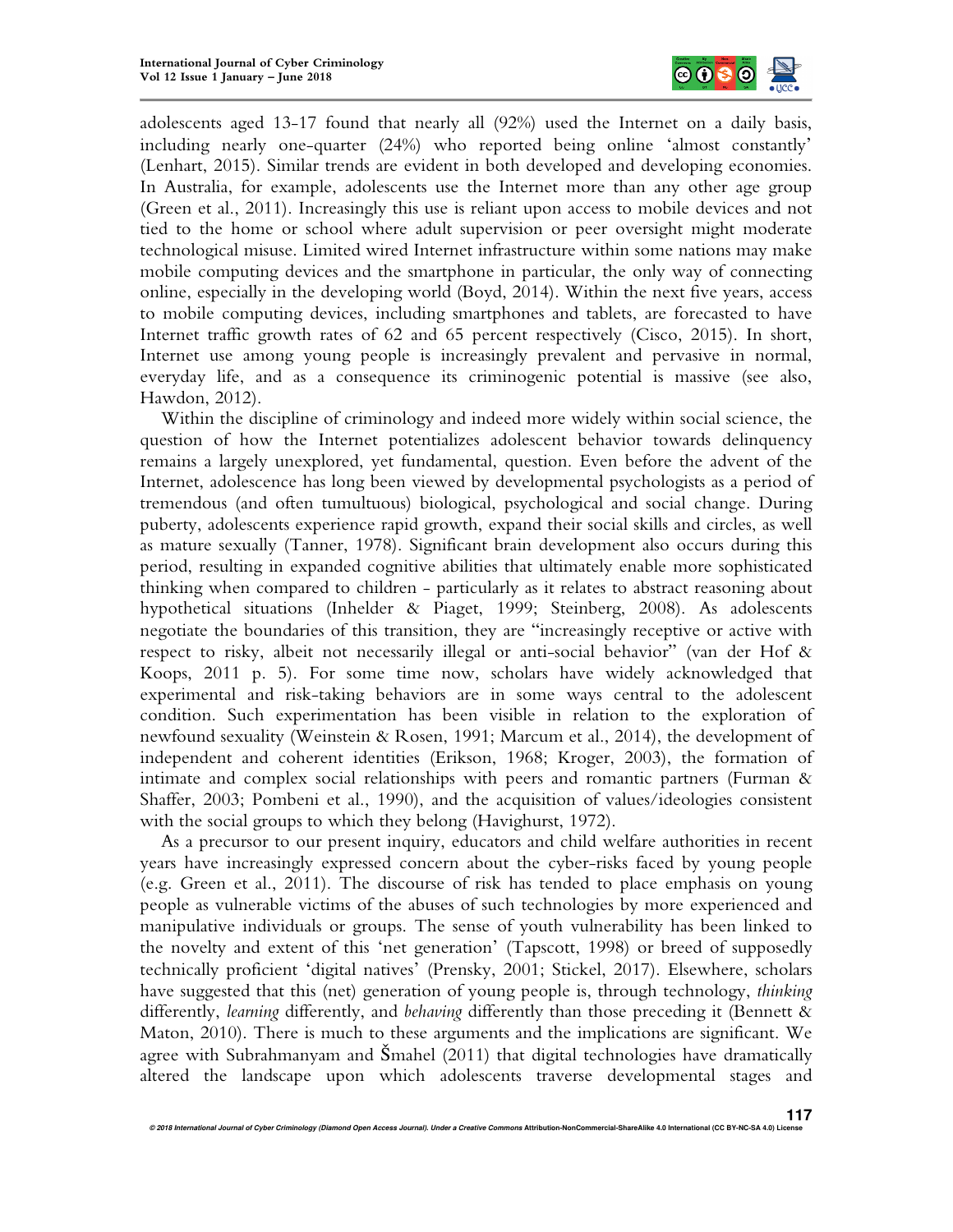

adolescents aged 13-17 found that nearly all (92%) used the Internet on a daily basis, including nearly one-quarter (24%) who reported being online 'almost constantly' (Lenhart, 2015). Similar trends are evident in both developed and developing economies. In Australia, for example, adolescents use the Internet more than any other age group (Green et al., 2011). Increasingly this use is reliant upon access to mobile devices and not tied to the home or school where adult supervision or peer oversight might moderate technological misuse. Limited wired Internet infrastructure within some nations may make mobile computing devices and the smartphone in particular, the only way of connecting online, especially in the developing world (Boyd, 2014). Within the next five years, access to mobile computing devices, including smartphones and tablets, are forecasted to have Internet traffic growth rates of 62 and 65 percent respectively (Cisco, 2015). In short, Internet use among young people is increasingly prevalent and pervasive in normal, everyday life, and as a consequence its criminogenic potential is massive (see also, Hawdon, 2012).

Within the discipline of criminology and indeed more widely within social science, the question of how the Internet potentializes adolescent behavior towards delinquency remains a largely unexplored, yet fundamental, question. Even before the advent of the Internet, adolescence has long been viewed by developmental psychologists as a period of tremendous (and often tumultuous) biological, psychological and social change. During puberty, adolescents experience rapid growth, expand their social skills and circles, as well as mature sexually (Tanner, 1978). Significant brain development also occurs during this period, resulting in expanded cognitive abilities that ultimately enable more sophisticated thinking when compared to children - particularly as it relates to abstract reasoning about hypothetical situations (Inhelder & Piaget, 1999; Steinberg, 2008). As adolescents negotiate the boundaries of this transition, they are "increasingly receptive or active with respect to risky, albeit not necessarily illegal or anti-social behavior" (van der Hof & Koops, 2011 p. 5). For some time now, scholars have widely acknowledged that experimental and risk-taking behaviors are in some ways central to the adolescent condition. Such experimentation has been visible in relation to the exploration of newfound sexuality (Weinstein & Rosen, 1991; Marcum et al., 2014), the development of independent and coherent identities (Erikson, 1968; Kroger, 2003), the formation of intimate and complex social relationships with peers and romantic partners (Furman & Shaffer, 2003; Pombeni et al., 1990), and the acquisition of values/ideologies consistent with the social groups to which they belong (Havighurst, 1972).

As a precursor to our present inquiry, educators and child welfare authorities in recent years have increasingly expressed concern about the cyber-risks faced by young people (e.g. Green et al., 2011). The discourse of risk has tended to place emphasis on young people as vulnerable victims of the abuses of such technologies by more experienced and manipulative individuals or groups. The sense of youth vulnerability has been linked to the novelty and extent of this 'net generation' (Tapscott, 1998) or breed of supposedly technically proficient 'digital natives' (Prensky, 2001; Stickel, 2017). Elsewhere, scholars have suggested that this (net) generation of young people is, through technology, *thinking* differently, *learning* differently, and *behaving* differently than those preceding it (Bennett & Maton, 2010). There is much to these arguments and the implications are significant. We agree with Subrahmanyam and Šmahel (2011) that digital technologies have dramatically altered the landscape upon which adolescents traverse developmental stages and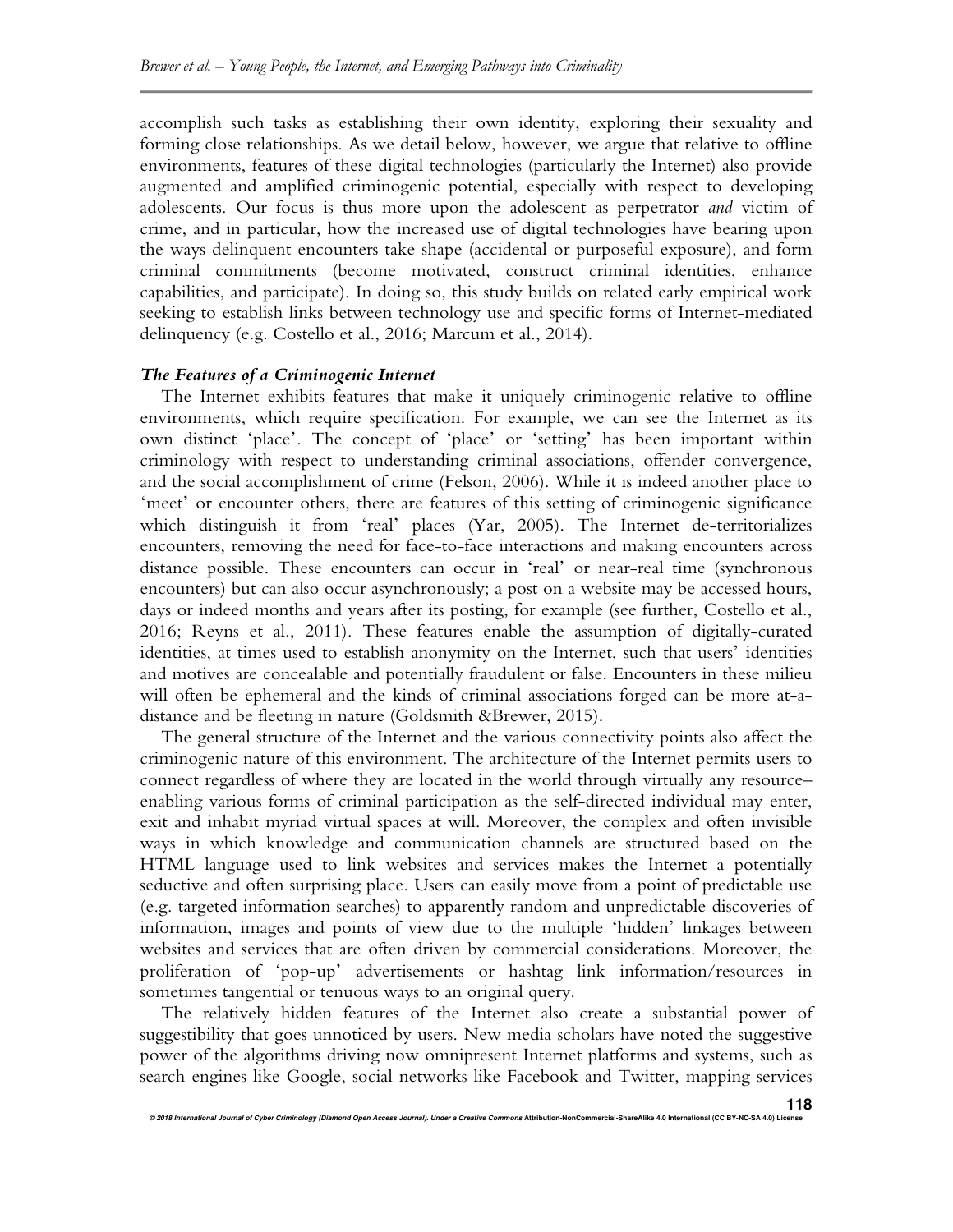accomplish such tasks as establishing their own identity, exploring their sexuality and forming close relationships. As we detail below, however, we argue that relative to offline environments, features of these digital technologies (particularly the Internet) also provide augmented and amplified criminogenic potential, especially with respect to developing adolescents. Our focus is thus more upon the adolescent as perpetrator *and* victim of crime, and in particular, how the increased use of digital technologies have bearing upon the ways delinquent encounters take shape (accidental or purposeful exposure), and form criminal commitments (become motivated, construct criminal identities, enhance capabilities, and participate). In doing so, this study builds on related early empirical work seeking to establish links between technology use and specific forms of Internet-mediated delinquency (e.g. Costello et al., 2016; Marcum et al., 2014).

#### *The Features of a Criminogenic Internet*

The Internet exhibits features that make it uniquely criminogenic relative to offline environments, which require specification. For example, we can see the Internet as its own distinct 'place'. The concept of 'place' or 'setting' has been important within criminology with respect to understanding criminal associations, offender convergence, and the social accomplishment of crime (Felson, 2006). While it is indeed another place to 'meet' or encounter others, there are features of this setting of criminogenic significance which distinguish it from 'real' places (Yar, 2005). The Internet de-territorializes encounters, removing the need for face-to-face interactions and making encounters across distance possible. These encounters can occur in 'real' or near-real time (synchronous encounters) but can also occur asynchronously; a post on a website may be accessed hours, days or indeed months and years after its posting, for example (see further, Costello et al., 2016; Reyns et al., 2011). These features enable the assumption of digitally-curated identities, at times used to establish anonymity on the Internet, such that users' identities and motives are concealable and potentially fraudulent or false. Encounters in these milieu will often be ephemeral and the kinds of criminal associations forged can be more at-adistance and be fleeting in nature (Goldsmith &Brewer, 2015).

The general structure of the Internet and the various connectivity points also affect the criminogenic nature of this environment. The architecture of the Internet permits users to connect regardless of where they are located in the world through virtually any resource– enabling various forms of criminal participation as the self-directed individual may enter, exit and inhabit myriad virtual spaces at will. Moreover, the complex and often invisible ways in which knowledge and communication channels are structured based on the HTML language used to link websites and services makes the Internet a potentially seductive and often surprising place. Users can easily move from a point of predictable use (e.g. targeted information searches) to apparently random and unpredictable discoveries of information, images and points of view due to the multiple 'hidden' linkages between websites and services that are often driven by commercial considerations. Moreover, the proliferation of 'pop-up' advertisements or hashtag link information/resources in sometimes tangential or tenuous ways to an original query.

The relatively hidden features of the Internet also create a substantial power of suggestibility that goes unnoticed by users. New media scholars have noted the suggestive power of the algorithms driving now omnipresent Internet platforms and systems, such as search engines like Google, social networks like Facebook and Twitter, mapping services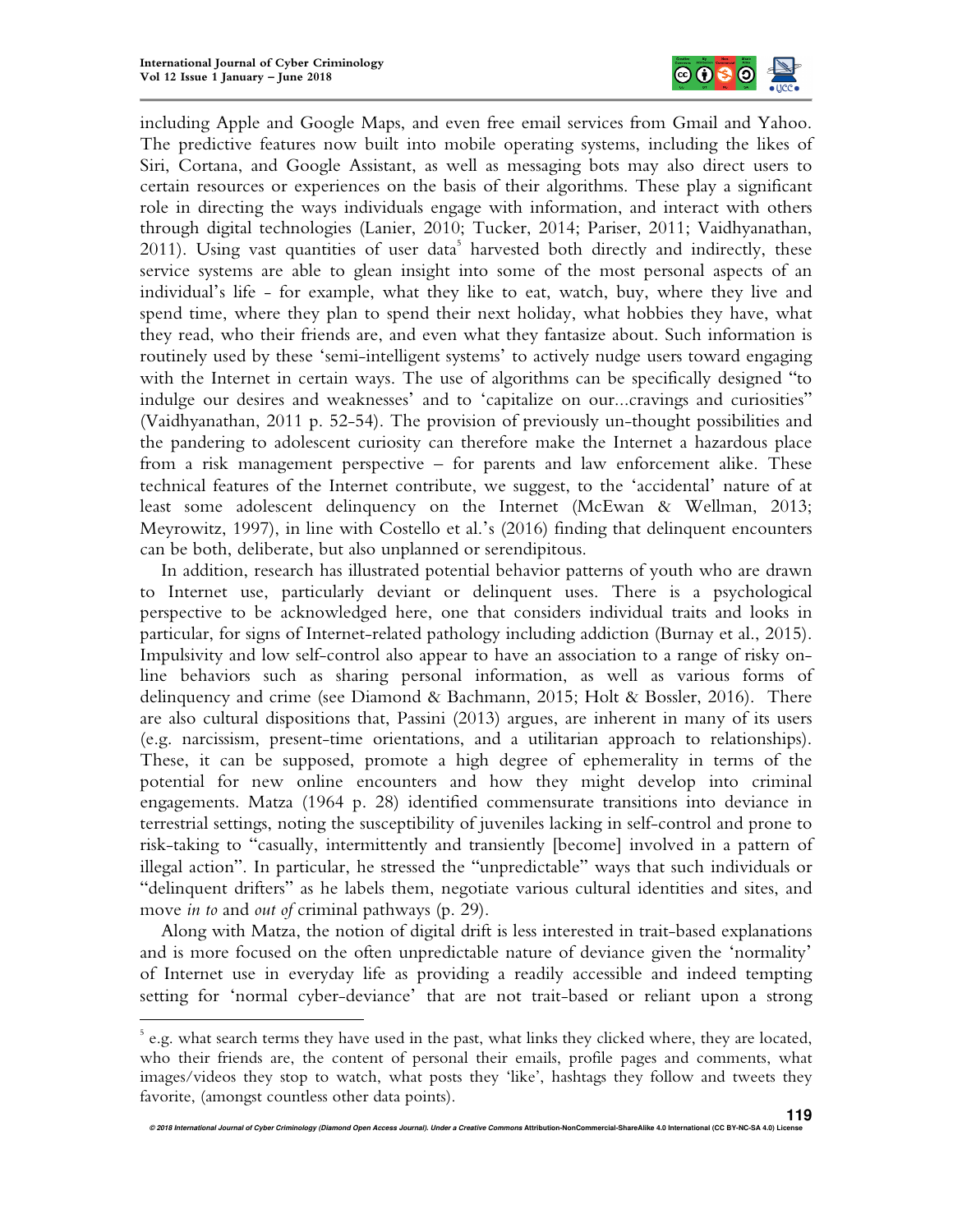l



including Apple and Google Maps, and even free email services from Gmail and Yahoo. The predictive features now built into mobile operating systems, including the likes of Siri, Cortana, and Google Assistant, as well as messaging bots may also direct users to certain resources or experiences on the basis of their algorithms. These play a significant role in directing the ways individuals engage with information, and interact with others through digital technologies (Lanier, 2010; Tucker, 2014; Pariser, 2011; Vaidhyanathan, 2011). Using vast quantities of user data<sup>5</sup> harvested both directly and indirectly, these service systems are able to glean insight into some of the most personal aspects of an individual's life - for example, what they like to eat, watch, buy, where they live and spend time, where they plan to spend their next holiday, what hobbies they have, what they read, who their friends are, and even what they fantasize about. Such information is routinely used by these 'semi-intelligent systems' to actively nudge users toward engaging with the Internet in certain ways. The use of algorithms can be specifically designed "to indulge our desires and weaknesses' and to 'capitalize on our...cravings and curiosities" (Vaidhyanathan, 2011 p. 52-54). The provision of previously un-thought possibilities and the pandering to adolescent curiosity can therefore make the Internet a hazardous place from a risk management perspective – for parents and law enforcement alike. These technical features of the Internet contribute, we suggest, to the 'accidental' nature of at least some adolescent delinquency on the Internet (McEwan & Wellman, 2013; Meyrowitz, 1997), in line with Costello et al.'s (2016) finding that delinquent encounters can be both, deliberate, but also unplanned or serendipitous.

In addition, research has illustrated potential behavior patterns of youth who are drawn to Internet use, particularly deviant or delinquent uses. There is a psychological perspective to be acknowledged here, one that considers individual traits and looks in particular, for signs of Internet-related pathology including addiction (Burnay et al., 2015). Impulsivity and low self-control also appear to have an association to a range of risky online behaviors such as sharing personal information, as well as various forms of delinquency and crime (see Diamond & Bachmann, 2015; Holt & Bossler, 2016). There are also cultural dispositions that, Passini (2013) argues, are inherent in many of its users (e.g. narcissism, present-time orientations, and a utilitarian approach to relationships). These, it can be supposed, promote a high degree of ephemerality in terms of the potential for new online encounters and how they might develop into criminal engagements. Matza (1964 p. 28) identified commensurate transitions into deviance in terrestrial settings, noting the susceptibility of juveniles lacking in self-control and prone to risk-taking to "casually, intermittently and transiently [become] involved in a pattern of illegal action". In particular, he stressed the "unpredictable" ways that such individuals or "delinquent drifters" as he labels them, negotiate various cultural identities and sites, and move *in to* and *out of* criminal pathways (p. 29).

Along with Matza, the notion of digital drift is less interested in trait-based explanations and is more focused on the often unpredictable nature of deviance given the 'normality' of Internet use in everyday life as providing a readily accessible and indeed tempting setting for 'normal cyber-deviance' that are not trait-based or reliant upon a strong

<sup>&</sup>lt;sup>5</sup> e.g. what search terms they have used in the past, what links they clicked where, they are located, who their friends are, the content of personal their emails, profile pages and comments, what images/videos they stop to watch, what posts they 'like', hashtags they follow and tweets they favorite, (amongst countless other data points).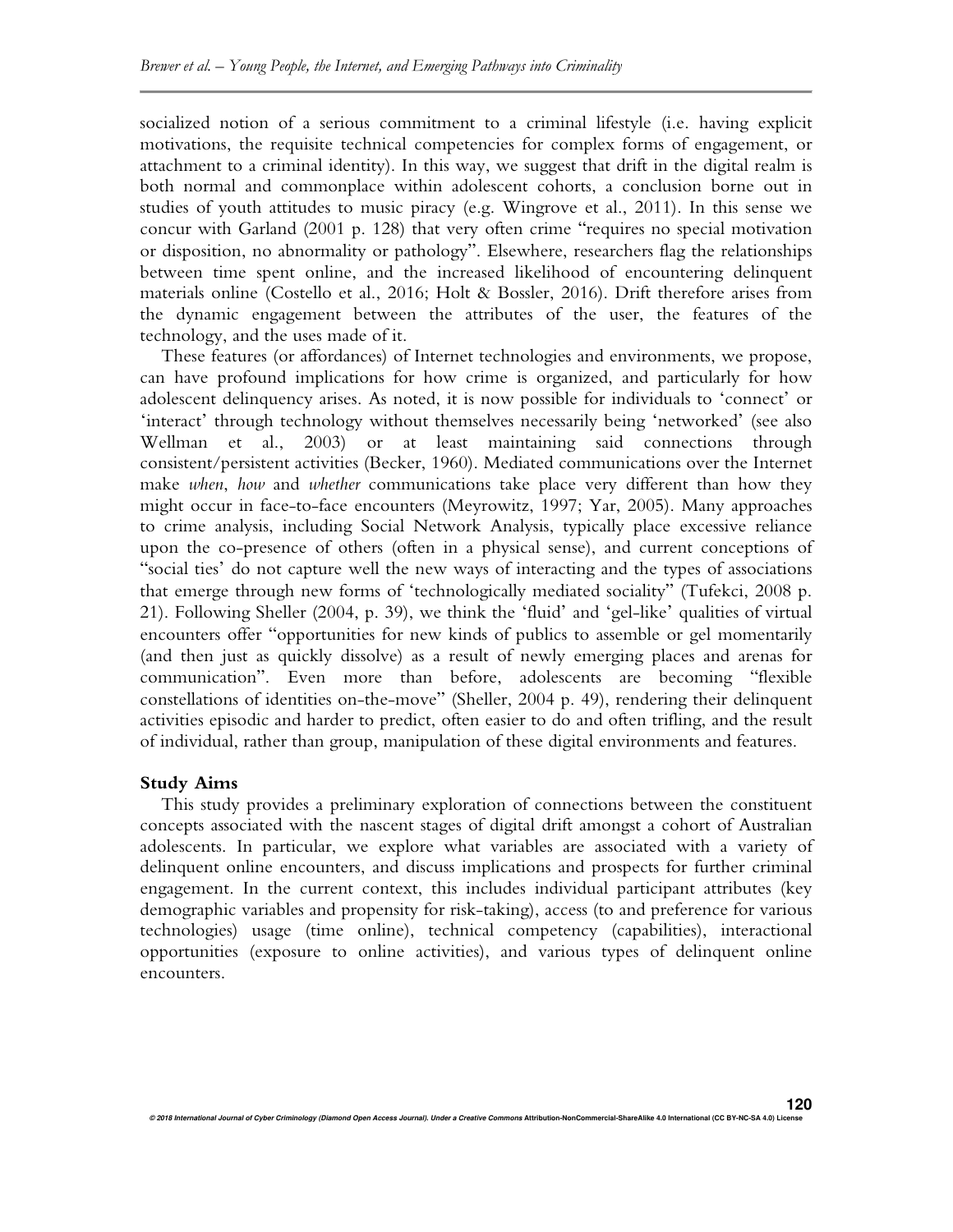socialized notion of a serious commitment to a criminal lifestyle (i.e. having explicit motivations, the requisite technical competencies for complex forms of engagement, or attachment to a criminal identity). In this way, we suggest that drift in the digital realm is both normal and commonplace within adolescent cohorts, a conclusion borne out in studies of youth attitudes to music piracy (e.g. Wingrove et al., 2011). In this sense we concur with Garland (2001 p. 128) that very often crime "requires no special motivation or disposition, no abnormality or pathology". Elsewhere, researchers flag the relationships between time spent online, and the increased likelihood of encountering delinquent materials online (Costello et al., 2016; Holt & Bossler, 2016). Drift therefore arises from the dynamic engagement between the attributes of the user, the features of the technology, and the uses made of it.

These features (or affordances) of Internet technologies and environments, we propose, can have profound implications for how crime is organized, and particularly for how adolescent delinquency arises. As noted, it is now possible for individuals to 'connect' or 'interact' through technology without themselves necessarily being 'networked' (see also Wellman et al., 2003) or at least maintaining said connections through consistent/persistent activities (Becker, 1960). Mediated communications over the Internet make *when*, *how* and *whether* communications take place very different than how they might occur in face-to-face encounters (Meyrowitz, 1997; Yar, 2005). Many approaches to crime analysis, including Social Network Analysis, typically place excessive reliance upon the co-presence of others (often in a physical sense), and current conceptions of "social ties' do not capture well the new ways of interacting and the types of associations that emerge through new forms of 'technologically mediated sociality" (Tufekci, 2008 p. 21). Following Sheller (2004, p. 39), we think the 'fluid' and 'gel-like' qualities of virtual encounters offer "opportunities for new kinds of publics to assemble or gel momentarily (and then just as quickly dissolve) as a result of newly emerging places and arenas for communication". Even more than before, adolescents are becoming "flexible constellations of identities on-the-move" (Sheller, 2004 p. 49), rendering their delinquent activities episodic and harder to predict, often easier to do and often trifling, and the result of individual, rather than group, manipulation of these digital environments and features.

#### **Study Aims**

This study provides a preliminary exploration of connections between the constituent concepts associated with the nascent stages of digital drift amongst a cohort of Australian adolescents. In particular, we explore what variables are associated with a variety of delinquent online encounters, and discuss implications and prospects for further criminal engagement. In the current context, this includes individual participant attributes (key demographic variables and propensity for risk-taking), access (to and preference for various technologies) usage (time online), technical competency (capabilities), interactional opportunities (exposure to online activities), and various types of delinquent online encounters.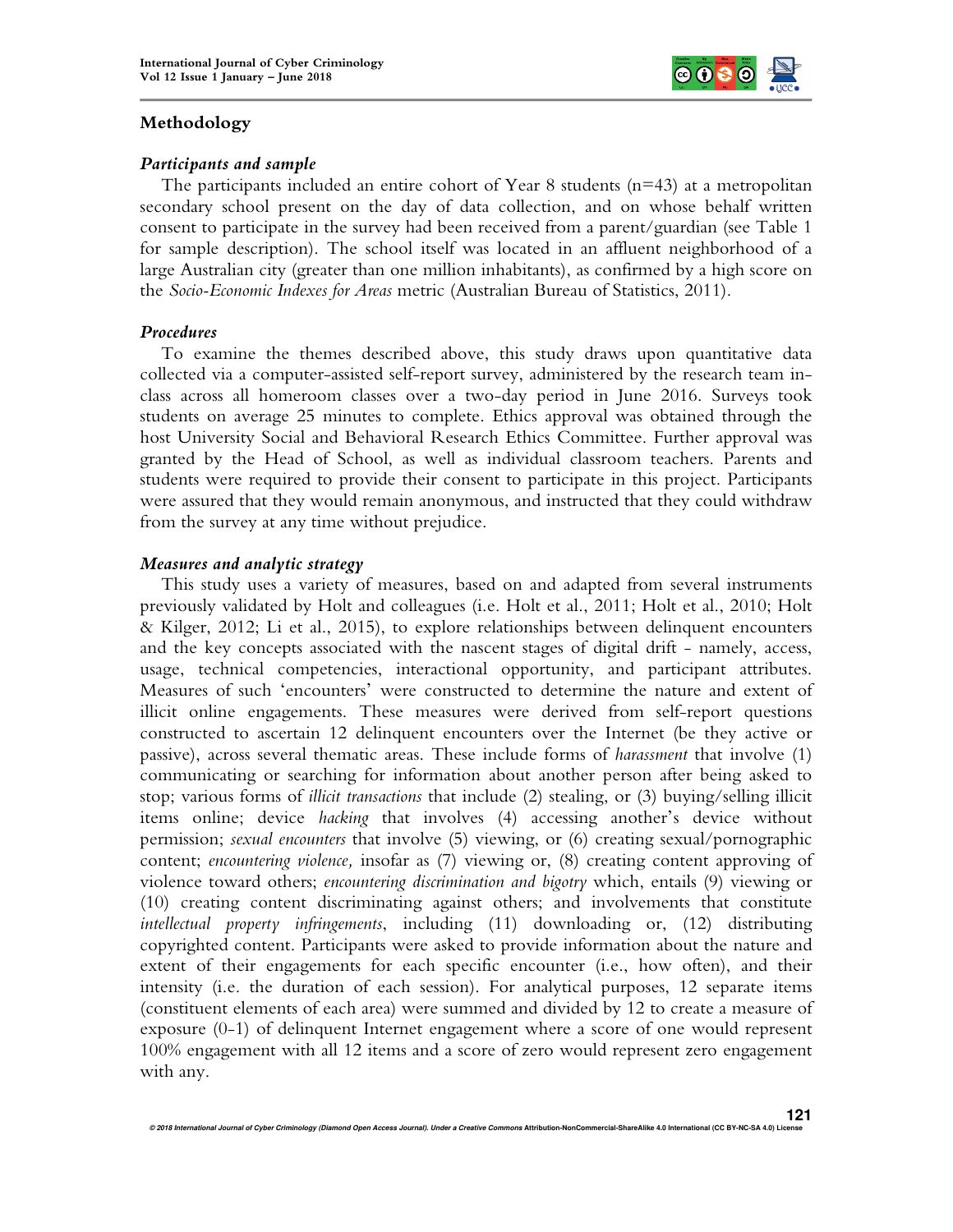

## **Methodology**

#### *Participants and sample*

The participants included an entire cohort of Year 8 students ( $n=43$ ) at a metropolitan secondary school present on the day of data collection, and on whose behalf written consent to participate in the survey had been received from a parent/guardian (see Table 1 for sample description). The school itself was located in an affluent neighborhood of a large Australian city (greater than one million inhabitants), as confirmed by a high score on the *Socio-Economic Indexes for Areas* metric (Australian Bureau of Statistics, 2011).

## *Procedures*

To examine the themes described above, this study draws upon quantitative data collected via a computer-assisted self-report survey, administered by the research team inclass across all homeroom classes over a two-day period in June 2016. Surveys took students on average 25 minutes to complete. Ethics approval was obtained through the host University Social and Behavioral Research Ethics Committee. Further approval was granted by the Head of School, as well as individual classroom teachers. Parents and students were required to provide their consent to participate in this project. Participants were assured that they would remain anonymous, and instructed that they could withdraw from the survey at any time without prejudice.

## *Measures and analytic strategy*

This study uses a variety of measures, based on and adapted from several instruments previously validated by Holt and colleagues (i.e. Holt et al., 2011; Holt et al., 2010; Holt & Kilger, 2012; Li et al., 2015), to explore relationships between delinquent encounters and the key concepts associated with the nascent stages of digital drift - namely, access, usage, technical competencies, interactional opportunity, and participant attributes. Measures of such 'encounters' were constructed to determine the nature and extent of illicit online engagements. These measures were derived from self-report questions constructed to ascertain 12 delinquent encounters over the Internet (be they active or passive), across several thematic areas. These include forms of *harassment* that involve (1) communicating or searching for information about another person after being asked to stop; various forms of *illicit transactions* that include (2) stealing, or (3) buying/selling illicit items online; device *hacking* that involves (4) accessing another's device without permission; *sexual encounters* that involve (5) viewing, or (6) creating sexual/pornographic content; *encountering violence,* insofar as (7) viewing or, (8) creating content approving of violence toward others; *encountering discrimination and bigotry* which, entails (9) viewing or (10) creating content discriminating against others; and involvements that constitute *intellectual property infringements*, including (11) downloading or, (12) distributing copyrighted content. Participants were asked to provide information about the nature and extent of their engagements for each specific encounter (i.e., how often), and their intensity (i.e. the duration of each session). For analytical purposes, 12 separate items (constituent elements of each area) were summed and divided by 12 to create a measure of exposure (0-1) of delinquent Internet engagement where a score of one would represent 100% engagement with all 12 items and a score of zero would represent zero engagement with any.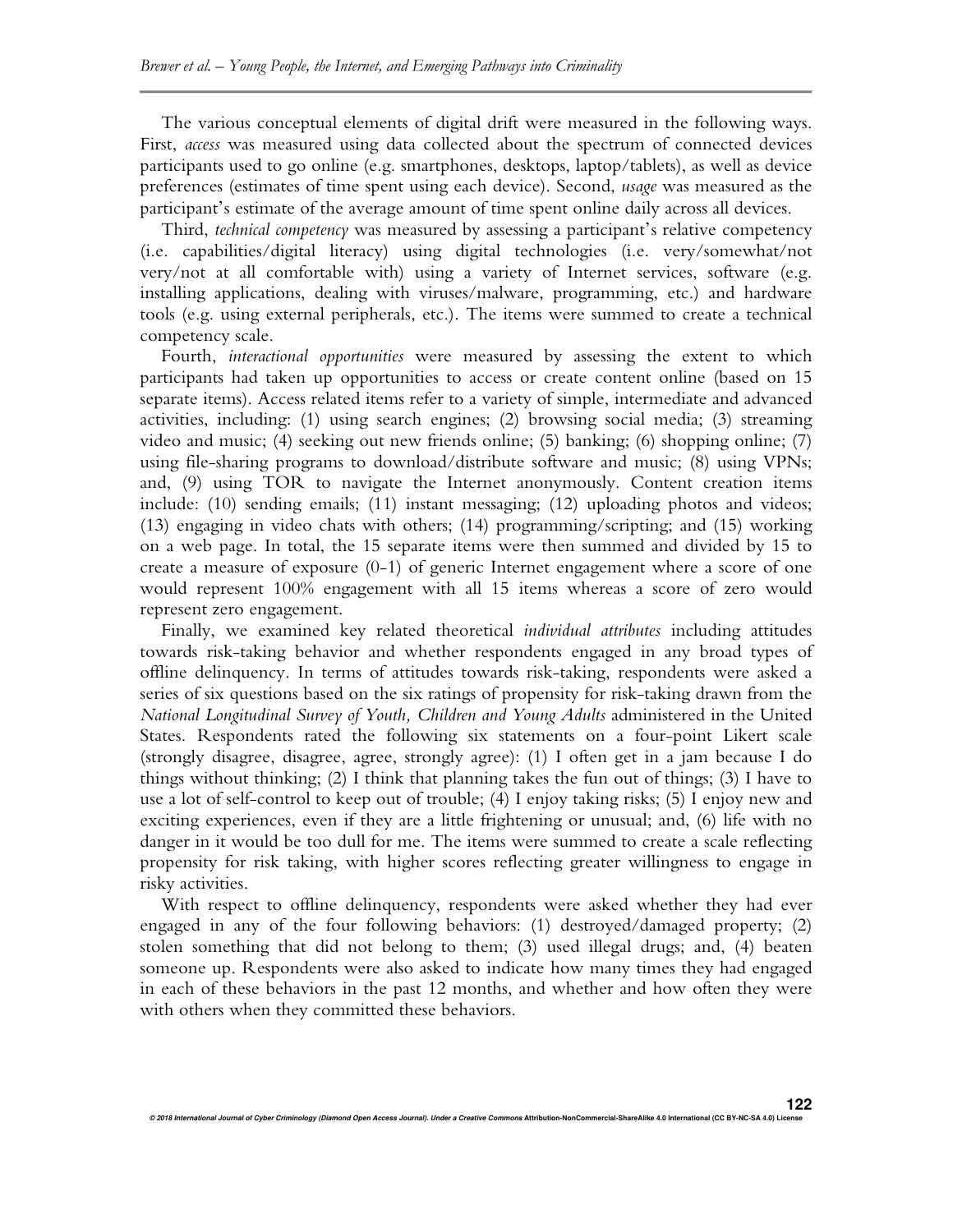The various conceptual elements of digital drift were measured in the following ways. First, *access* was measured using data collected about the spectrum of connected devices participants used to go online (e.g. smartphones, desktops, laptop/tablets), as well as device preferences (estimates of time spent using each device). Second, *usage* was measured as the participant's estimate of the average amount of time spent online daily across all devices.

Third, *technical competency* was measured by assessing a participant's relative competency (i.e. capabilities/digital literacy) using digital technologies (i.e. very/somewhat/not very/not at all comfortable with) using a variety of Internet services, software (e.g. installing applications, dealing with viruses/malware, programming, etc.) and hardware tools (e.g. using external peripherals, etc.). The items were summed to create a technical competency scale.

Fourth, *interactional opportunities* were measured by assessing the extent to which participants had taken up opportunities to access or create content online (based on 15 separate items). Access related items refer to a variety of simple, intermediate and advanced activities, including: (1) using search engines; (2) browsing social media; (3) streaming video and music; (4) seeking out new friends online; (5) banking; (6) shopping online; (7) using file-sharing programs to download/distribute software and music; (8) using VPNs; and, (9) using TOR to navigate the Internet anonymously. Content creation items include: (10) sending emails; (11) instant messaging; (12) uploading photos and videos; (13) engaging in video chats with others; (14) programming/scripting; and (15) working on a web page. In total, the 15 separate items were then summed and divided by 15 to create a measure of exposure (0-1) of generic Internet engagement where a score of one would represent 100% engagement with all 15 items whereas a score of zero would represent zero engagement.

Finally, we examined key related theoretical *individual attributes* including attitudes towards risk-taking behavior and whether respondents engaged in any broad types of offline delinquency. In terms of attitudes towards risk-taking, respondents were asked a series of six questions based on the six ratings of propensity for risk-taking drawn from the *National Longitudinal Survey of Youth, Children and Young Adults* administered in the United States. Respondents rated the following six statements on a four-point Likert scale (strongly disagree, disagree, agree, strongly agree): (1) I often get in a jam because I do things without thinking; (2) I think that planning takes the fun out of things; (3) I have to use a lot of self-control to keep out of trouble; (4) I enjoy taking risks; (5) I enjoy new and exciting experiences, even if they are a little frightening or unusual; and, (6) life with no danger in it would be too dull for me. The items were summed to create a scale reflecting propensity for risk taking, with higher scores reflecting greater willingness to engage in risky activities.

With respect to offline delinquency, respondents were asked whether they had ever engaged in any of the four following behaviors: (1) destroyed/damaged property; (2) stolen something that did not belong to them; (3) used illegal drugs; and, (4) beaten someone up. Respondents were also asked to indicate how many times they had engaged in each of these behaviors in the past 12 months, and whether and how often they were with others when they committed these behaviors.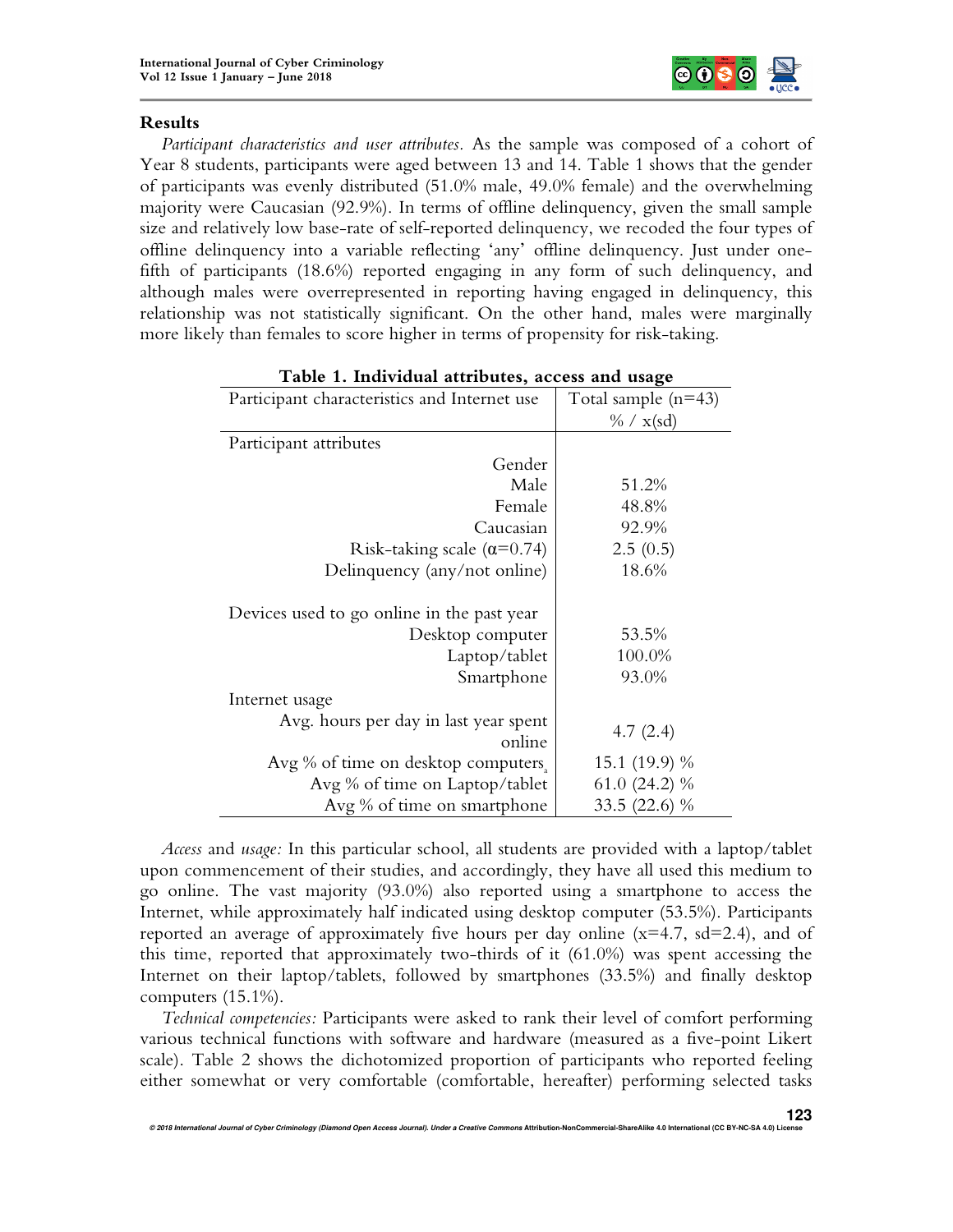

## **Results**

*Participant characteristics and user attributes.* As the sample was composed of a cohort of Year 8 students, participants were aged between 13 and 14. Table 1 shows that the gender of participants was evenly distributed (51.0% male, 49.0% female) and the overwhelming majority were Caucasian (92.9%). In terms of offline delinquency, given the small sample size and relatively low base-rate of self-reported delinquency, we recoded the four types of offline delinquency into a variable reflecting 'any' offline delinquency. Just under onefifth of participants (18.6%) reported engaging in any form of such delinquency, and although males were overrepresented in reporting having engaged in delinquency, this relationship was not statistically significant. On the other hand, males were marginally more likely than females to score higher in terms of propensity for risk-taking.

| Participant characteristics and Internet use    | Total sample $(n=43)$ |
|-------------------------------------------------|-----------------------|
|                                                 | $\% / x({\rm sd})$    |
| Participant attributes                          |                       |
| Gender                                          |                       |
| Male                                            | 51.2%                 |
| Female                                          | 48.8%                 |
| Caucasian                                       | 92.9%                 |
| Risk-taking scale $(\alpha=0.74)$               | 2.5(0.5)              |
| Delinquency (any/not online)                    | 18.6%                 |
| Devices used to go online in the past year      |                       |
| Desktop computer                                | 53.5%                 |
| Laptop/tablet                                   | 100.0%                |
| Smartphone                                      | 93.0%                 |
| Internet usage                                  |                       |
| Avg. hours per day in last year spent<br>online | 4.7(2.4)              |
| Avg % of time on desktop computers.             | 15.1 (19.9) %         |
| Avg % of time on Laptop/tablet                  | 61.0 $(24.2)$ %       |
| Avg % of time on smartphone                     | 33.5 (22.6) %         |

| Table 1. Individual attributes, access and usage |  |  |  |  |
|--------------------------------------------------|--|--|--|--|
|--------------------------------------------------|--|--|--|--|

*Access* and *usage:* In this particular school, all students are provided with a laptop/tablet upon commencement of their studies, and accordingly, they have all used this medium to go online. The vast majority (93.0%) also reported using a smartphone to access the Internet, while approximately half indicated using desktop computer (53.5%). Participants reported an average of approximately five hours per day online  $(x=4.7, sd=2.4)$ , and of this time, reported that approximately two-thirds of it (61.0%) was spent accessing the Internet on their laptop/tablets, followed by smartphones (33.5%) and finally desktop computers (15.1%).

*Technical competencies:* Participants were asked to rank their level of comfort performing various technical functions with software and hardware (measured as a five-point Likert scale). Table 2 shows the dichotomized proportion of participants who reported feeling either somewhat or very comfortable (comfortable, hereafter) performing selected tasks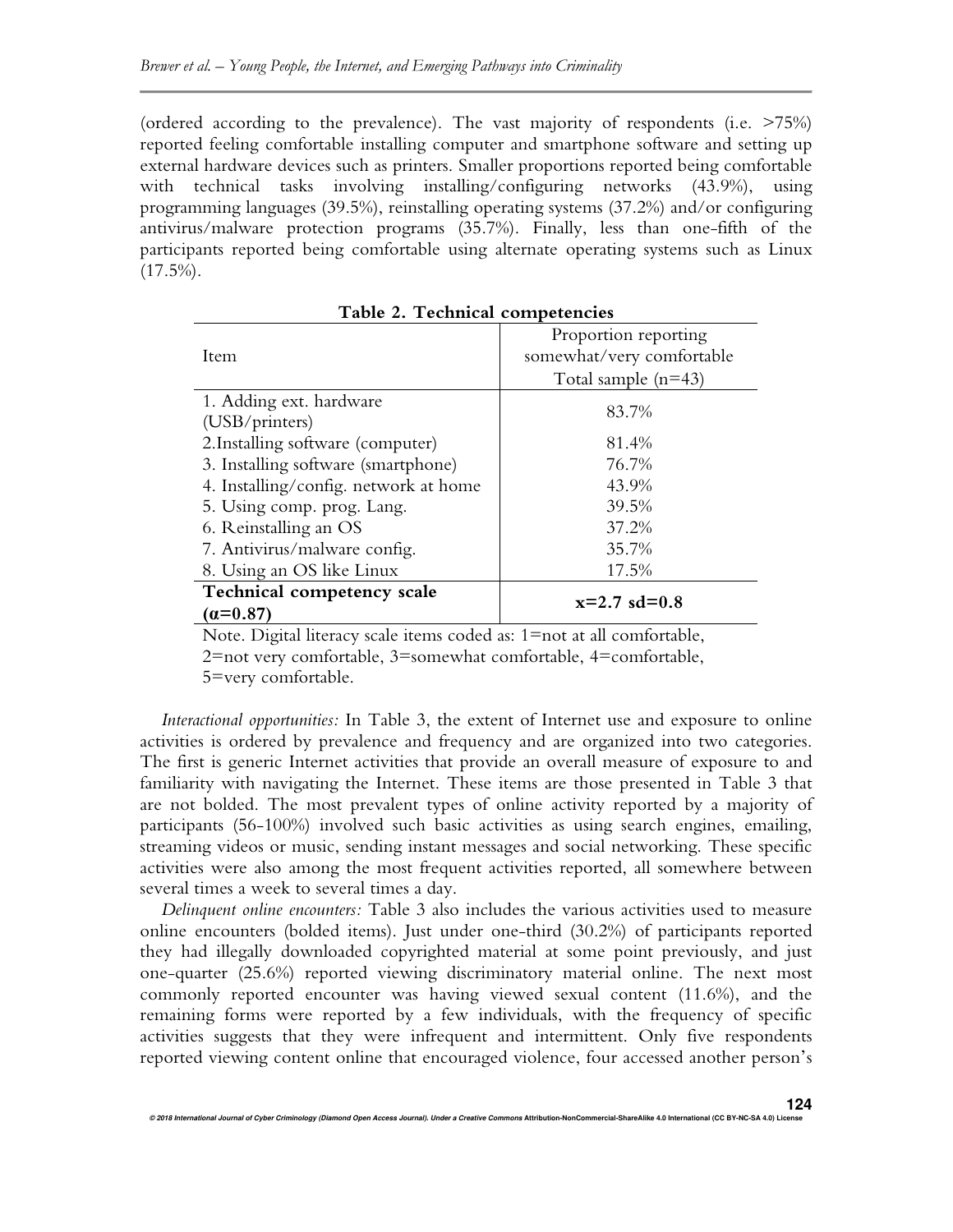(ordered according to the prevalence). The vast majority of respondents (i.e. >75%) reported feeling comfortable installing computer and smartphone software and setting up external hardware devices such as printers. Smaller proportions reported being comfortable with technical tasks involving installing/configuring networks (43.9%), using programming languages (39.5%), reinstalling operating systems (37.2%) and/or configuring antivirus/malware protection programs (35.7%). Finally, less than one-fifth of the participants reported being comfortable using alternate operating systems such as Linux  $(17.5\%)$ .

| Item                                  | Proportion reporting<br>somewhat/very comfortable |  |  |  |
|---------------------------------------|---------------------------------------------------|--|--|--|
|                                       | Total sample $(n=43)$                             |  |  |  |
| 1. Adding ext. hardware               | 83.7%                                             |  |  |  |
| (USB/printers)                        |                                                   |  |  |  |
| 2. Installing software (computer)     | 81.4%                                             |  |  |  |
| 3. Installing software (smartphone)   | 76.7%                                             |  |  |  |
| 4. Installing/config. network at home | 43.9%                                             |  |  |  |
| 5. Using comp. prog. Lang.            | 39.5%                                             |  |  |  |
| 6. Reinstalling an OS                 | 37.2%                                             |  |  |  |
| 7. Antivirus/malware config.          | 35.7%                                             |  |  |  |
| 8. Using an OS like Linux             | 17.5%                                             |  |  |  |
| Technical competency scale            |                                                   |  |  |  |
| $(a=0.87)$                            | $x=2.7$ sd=0.8                                    |  |  |  |

**Table 2. Technical competencies** 

Note. Digital literacy scale items coded as: 1=not at all comfortable, 2=not very comfortable, 3=somewhat comfortable, 4=comfortable, 5=very comfortable.

*Interactional opportunities:* In Table 3, the extent of Internet use and exposure to online activities is ordered by prevalence and frequency and are organized into two categories. The first is generic Internet activities that provide an overall measure of exposure to and familiarity with navigating the Internet. These items are those presented in Table 3 that are not bolded. The most prevalent types of online activity reported by a majority of participants (56-100%) involved such basic activities as using search engines, emailing, streaming videos or music, sending instant messages and social networking. These specific activities were also among the most frequent activities reported, all somewhere between several times a week to several times a day.

*Delinquent online encounters:* Table 3 also includes the various activities used to measure online encounters (bolded items). Just under one-third (30.2%) of participants reported they had illegally downloaded copyrighted material at some point previously, and just one-quarter (25.6%) reported viewing discriminatory material online. The next most commonly reported encounter was having viewed sexual content (11.6%), and the remaining forms were reported by a few individuals, with the frequency of specific activities suggests that they were infrequent and intermittent. Only five respondents reported viewing content online that encouraged violence, four accessed another person's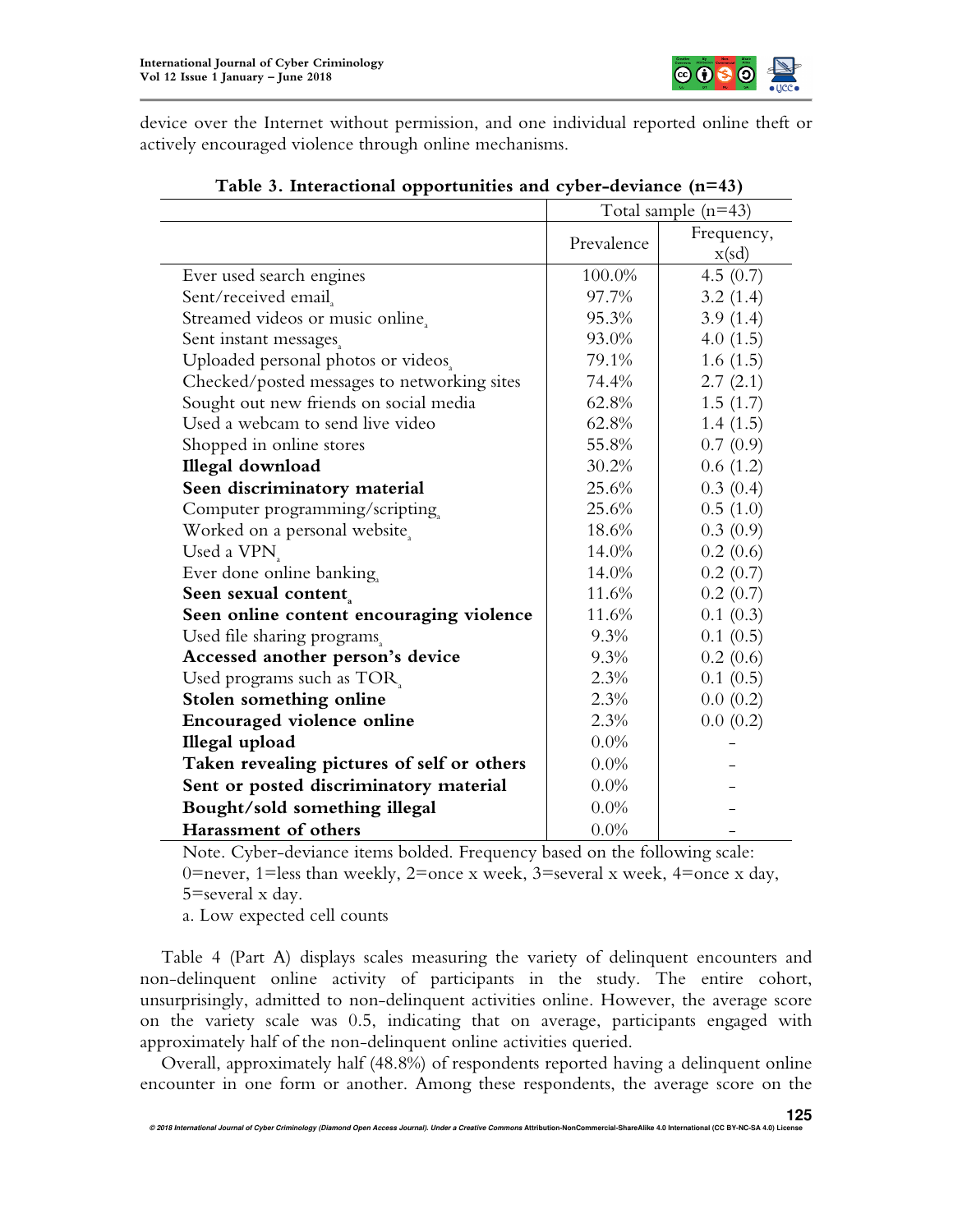

device over the Internet without permission, and one individual reported online theft or actively encouraged violence through online mechanisms.

| $\frac{1}{2}$ of moderational opportunities and $\frac{1}{2}$ or actually $\frac{1}{2}$ |                       |            |  |  |
|-----------------------------------------------------------------------------------------|-----------------------|------------|--|--|
|                                                                                         | Total sample $(n=43)$ |            |  |  |
|                                                                                         | Prevalence            | Frequency, |  |  |
|                                                                                         |                       | x(sd)      |  |  |
| Ever used search engines                                                                | 100.0%                | 4.5(0.7)   |  |  |
| Sent/received email                                                                     | 97.7%                 | 3.2(1.4)   |  |  |
| Streamed videos or music online.                                                        | 95.3%                 | 3.9(1.4)   |  |  |
| Sent instant messages                                                                   | 93.0%                 | 4.0(1.5)   |  |  |
| Uploaded personal photos or videos.                                                     | 79.1%                 | 1.6(1.5)   |  |  |
| Checked/posted messages to networking sites                                             | 74.4%                 | 2.7(2.1)   |  |  |
| Sought out new friends on social media                                                  | 62.8%                 | 1.5(1.7)   |  |  |
| Used a webcam to send live video                                                        | 62.8%                 | 1.4(1.5)   |  |  |
| Shopped in online stores                                                                | 55.8%                 | 0.7(0.9)   |  |  |
| Illegal download                                                                        | 30.2%                 | 0.6(1.2)   |  |  |
| Seen discriminatory material                                                            | 25.6%                 | 0.3(0.4)   |  |  |
| Computer programming/scripting                                                          | 25.6%                 | 0.5(1.0)   |  |  |
| Worked on a personal website,                                                           | 18.6%                 | 0.3(0.9)   |  |  |
| Used a VPN <sub>s</sub>                                                                 | 14.0%                 | 0.2(0.6)   |  |  |
| Ever done online banking,                                                               | 14.0%                 | 0.2(0.7)   |  |  |
| Seen sexual content                                                                     | 11.6%                 | 0.2(0.7)   |  |  |
| Seen online content encouraging violence                                                | 11.6%                 | 0.1(0.3)   |  |  |
| Used file sharing programs                                                              | 9.3%                  | 0.1(0.5)   |  |  |
| Accessed another person's device                                                        | 9.3%                  | 0.2(0.6)   |  |  |
| Used programs such as TOR                                                               | 2.3%                  | 0.1(0.5)   |  |  |
| Stolen something online                                                                 | 2.3%                  | 0.0(0.2)   |  |  |
| <b>Encouraged violence online</b>                                                       | 2.3%                  | 0.0(0.2)   |  |  |
| Illegal upload                                                                          | 0.0%                  |            |  |  |
| Taken revealing pictures of self or others                                              | 0.0%                  |            |  |  |
| Sent or posted discriminatory material                                                  | 0.0%                  |            |  |  |
| Bought/sold something illegal                                                           | 0.0%                  |            |  |  |
| Harassment of others                                                                    | 0.0%                  |            |  |  |

## **Table 3. Interactional opportunities and cyber-deviance (n=43)**

Note. Cyber-deviance items bolded. Frequency based on the following scale: 0=never, 1=less than weekly, 2=once x week, 3=several x week, 4=once x day, 5=several x day.

a. Low expected cell counts

Table 4 (Part A) displays scales measuring the variety of delinquent encounters and non-delinquent online activity of participants in the study. The entire cohort, unsurprisingly, admitted to non-delinquent activities online. However, the average score on the variety scale was 0.5, indicating that on average, participants engaged with approximately half of the non-delinquent online activities queried.

Overall, approximately half (48.8%) of respondents reported having a delinquent online encounter in one form or another. Among these respondents, the average score on the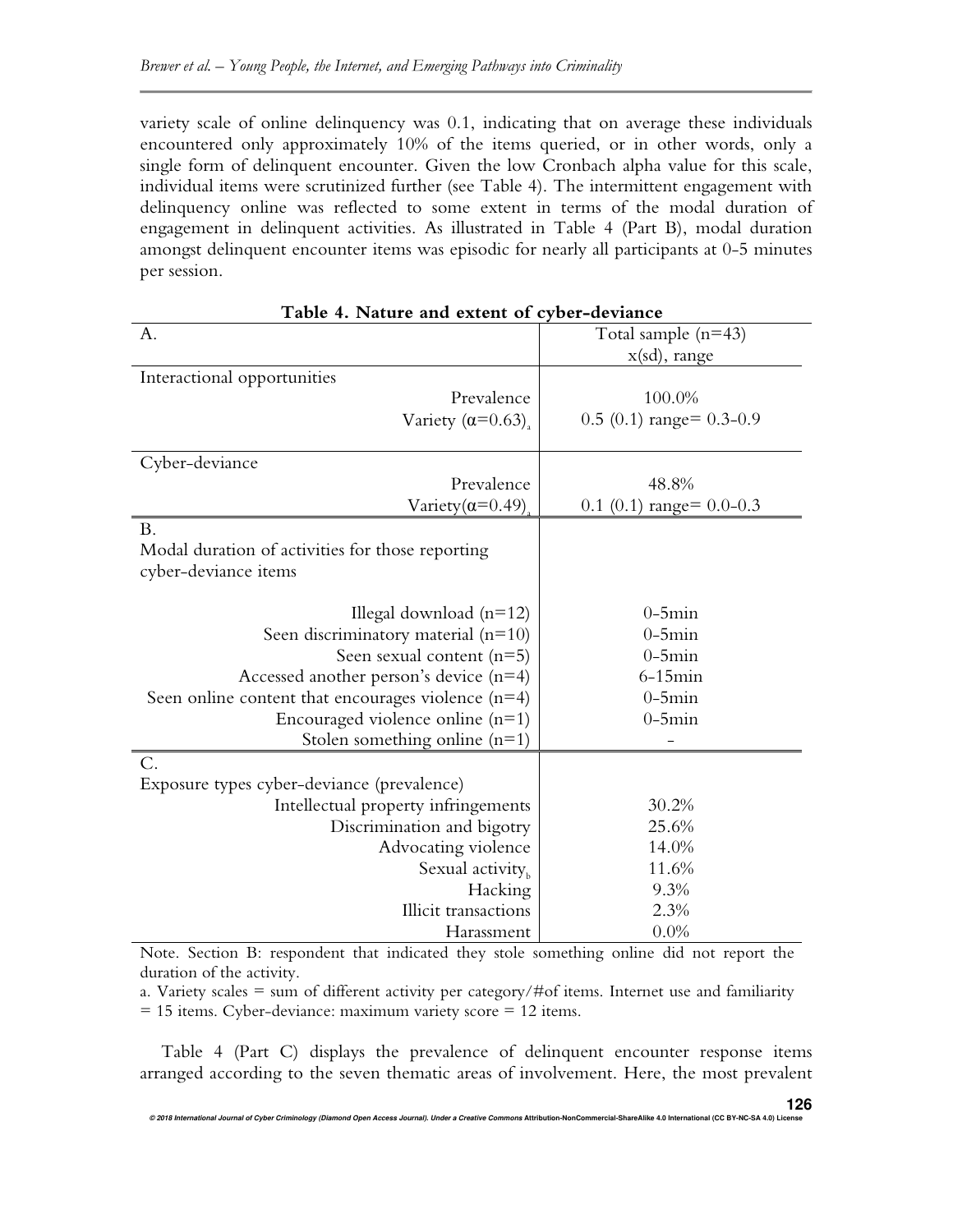variety scale of online delinquency was 0.1, indicating that on average these individuals encountered only approximately 10% of the items queried, or in other words, only a single form of delinquent encounter. Given the low Cronbach alpha value for this scale, individual items were scrutinized further (see Table 4). The intermittent engagement with delinquency online was reflected to some extent in terms of the modal duration of engagement in delinquent activities. As illustrated in Table 4 (Part B), modal duration amongst delinquent encounter items was episodic for nearly all participants at 0-5 minutes per session.

| Table 4. INature and extent of cyber-deviance        |                              |  |  |  |  |  |  |  |
|------------------------------------------------------|------------------------------|--|--|--|--|--|--|--|
| A.                                                   | Total sample $(n=43)$        |  |  |  |  |  |  |  |
|                                                      | x(sd), range                 |  |  |  |  |  |  |  |
| Interactional opportunities                          |                              |  |  |  |  |  |  |  |
| Prevalence                                           | 100.0%                       |  |  |  |  |  |  |  |
| Variety $(\alpha=0.63)$ ,                            | $0.5(0.1)$ range= 0.3-0.9    |  |  |  |  |  |  |  |
|                                                      |                              |  |  |  |  |  |  |  |
| Cyber-deviance                                       |                              |  |  |  |  |  |  |  |
| Prevalence                                           | 48.8%                        |  |  |  |  |  |  |  |
| Variety $(\alpha=0.49)$                              | 0.1 (0.1) range = $0.0$ -0.3 |  |  |  |  |  |  |  |
| <b>B.</b>                                            |                              |  |  |  |  |  |  |  |
| Modal duration of activities for those reporting     |                              |  |  |  |  |  |  |  |
| cyber-deviance items                                 |                              |  |  |  |  |  |  |  |
|                                                      |                              |  |  |  |  |  |  |  |
| Illegal download $(n=12)$                            | $0-5$ min                    |  |  |  |  |  |  |  |
| Seen discriminatory material $(n=10)$                | $0-5$ min                    |  |  |  |  |  |  |  |
| Seen sexual content $(n=5)$                          | $0-5$ min                    |  |  |  |  |  |  |  |
| Accessed another person's device $(n=4)$             | $6-15$ min                   |  |  |  |  |  |  |  |
| Seen online content that encourages violence $(n=4)$ | $0-5$ min                    |  |  |  |  |  |  |  |
| Encouraged violence online $(n=1)$                   | $0-5$ min                    |  |  |  |  |  |  |  |
| Stolen something online $(n=1)$                      |                              |  |  |  |  |  |  |  |
| C.                                                   |                              |  |  |  |  |  |  |  |
| Exposure types cyber-deviance (prevalence)           |                              |  |  |  |  |  |  |  |
| Intellectual property infringements                  | 30.2%                        |  |  |  |  |  |  |  |
| Discrimination and bigotry                           | 25.6%                        |  |  |  |  |  |  |  |
| Advocating violence                                  | 14.0%                        |  |  |  |  |  |  |  |
| Sexual activity <sub>b</sub>                         | 11.6%                        |  |  |  |  |  |  |  |
| Hacking                                              | 9.3%                         |  |  |  |  |  |  |  |
| <b>Illicit transactions</b>                          | 2.3%                         |  |  |  |  |  |  |  |
| Harassment                                           | 0.0%                         |  |  |  |  |  |  |  |

**Table 4. Nature and extent of cyber-deviance** 

Note. Section B: respondent that indicated they stole something online did not report the duration of the activity.

a. Variety scales  $=$  sum of different activity per category/#of items. Internet use and familiarity

= 15 items. Cyber-deviance: maximum variety score = 12 items.

Table 4 (Part C) displays the prevalence of delinquent encounter response items arranged according to the seven thematic areas of involvement. Here, the most prevalent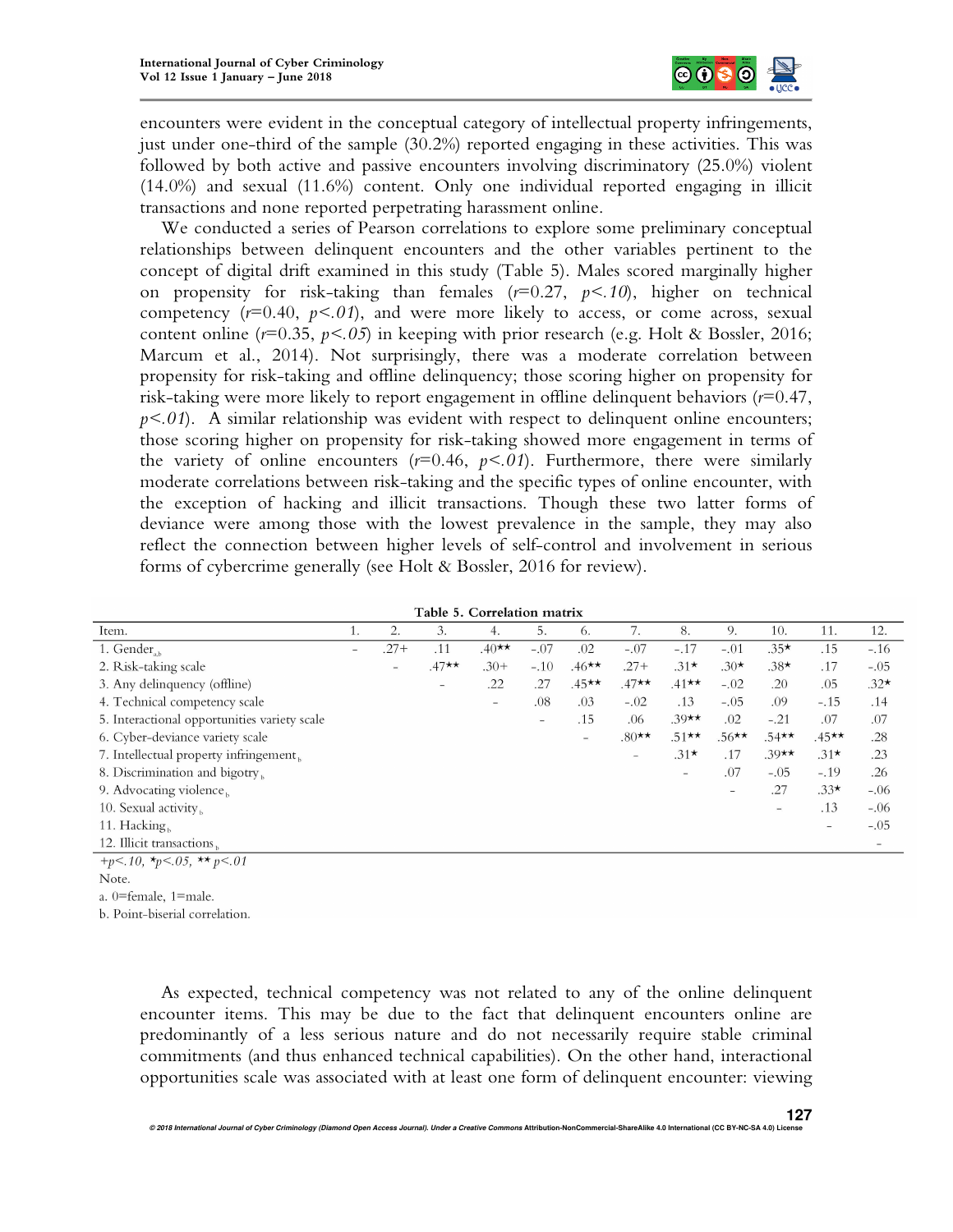

encounters were evident in the conceptual category of intellectual property infringements, just under one-third of the sample (30.2%) reported engaging in these activities. This was followed by both active and passive encounters involving discriminatory (25.0%) violent (14.0%) and sexual (11.6%) content. Only one individual reported engaging in illicit transactions and none reported perpetrating harassment online.

We conducted a series of Pearson correlations to explore some preliminary conceptual relationships between delinquent encounters and the other variables pertinent to the concept of digital drift examined in this study (Table 5). Males scored marginally higher on propensity for risk-taking than females (*r*=0.27, *p<.10*), higher on technical competency  $(r=0.40, p<0.1)$ , and were more likely to access, or come across, sexual content online (*r*=0.35, *p<.05*) in keeping with prior research (e.g. Holt & Bossler, 2016; Marcum et al., 2014). Not surprisingly, there was a moderate correlation between propensity for risk-taking and offline delinquency; those scoring higher on propensity for risk-taking were more likely to report engagement in offline delinquent behaviors (*r*=0.47,  $p<.01$ ). A similar relationship was evident with respect to delinquent online encounters; those scoring higher on propensity for risk-taking showed more engagement in terms of the variety of online encounters  $(r=0.46, p<0.1)$ . Furthermore, there were similarly moderate correlations between risk-taking and the specific types of online encounter, with the exception of hacking and illicit transactions. Though these two latter forms of deviance were among those with the lowest prevalence in the sample, they may also reflect the connection between higher levels of self-control and involvement in serious forms of cybercrime generally (see Holt & Bossler, 2016 for review).

المراجات المواطن والأساب

| l'able 5. Correlation matrix                                                                                                                                                                                                                                     |                          |        |         |                          |                          |          |         |                          |          |         |         |                          |
|------------------------------------------------------------------------------------------------------------------------------------------------------------------------------------------------------------------------------------------------------------------|--------------------------|--------|---------|--------------------------|--------------------------|----------|---------|--------------------------|----------|---------|---------|--------------------------|
| Item.                                                                                                                                                                                                                                                            | ι.                       | 2.     | 3.      | 4.                       | 5.                       | 6.       | 7.      | 8.                       | 9.       | 10.     | 11.     | 12.                      |
| $1.$ Gender                                                                                                                                                                                                                                                      | $\overline{\phantom{0}}$ | $.27+$ | .11     | $.40**$                  | $-.07$                   | .02      | $-.07$  | $-.17$                   | $-.01$   | $.35*$  | .15     | $-.16$                   |
| 2. Risk-taking scale                                                                                                                                                                                                                                             |                          | $-$    | $.47**$ | $.30+$                   | $-.10$                   | $.46***$ | $.27 +$ | $.31*$                   | $.30*$   | $.38*$  | .17     | $-.05$                   |
| 3. Any delinquency (offline)                                                                                                                                                                                                                                     |                          |        | -       | .22                      | .27                      | $.45**$  | $.47**$ | $.41**$                  | $-.02$   | .20     | .05     | $.32*$                   |
| 4. Technical competency scale                                                                                                                                                                                                                                    |                          |        |         | $\overline{\phantom{a}}$ | .08                      | .03      | $-.02$  | .13                      | $-.05$   | .09     | $-.15$  | .14                      |
| 5. Interactional opportunities variety scale                                                                                                                                                                                                                     |                          |        |         |                          | $\overline{\phantom{a}}$ | .15      | .06     | $.39**$                  | .02      | $-.21$  | .07     | .07                      |
| 6. Cyber-deviance variety scale                                                                                                                                                                                                                                  |                          |        |         |                          |                          | $\equiv$ | $.80**$ | $.51$ **                 | $.56***$ | $.54**$ | $.45**$ | .28                      |
| 7. Intellectual property infringement,                                                                                                                                                                                                                           |                          |        |         |                          |                          |          | -       | $.31*$                   | .17      | $.39**$ | $.31*$  | .23                      |
| 8. Discrimination and bigotry,                                                                                                                                                                                                                                   |                          |        |         |                          |                          |          |         | $\overline{\phantom{a}}$ | .07      | $-.05$  | $-.19$  | .26                      |
| 9. Advocating violence,                                                                                                                                                                                                                                          |                          |        |         |                          |                          |          |         |                          |          | .27     | $.33*$  | $-.06$                   |
| 10. Sexual activity,                                                                                                                                                                                                                                             |                          |        |         |                          |                          |          |         |                          |          | -       | .13     | $-.06$                   |
| 11. Hacking                                                                                                                                                                                                                                                      |                          |        |         |                          |                          |          |         |                          |          |         | -       | $-.05$                   |
| 12. Illicit transactions                                                                                                                                                                                                                                         |                          |        |         |                          |                          |          |         |                          |          |         |         | $\overline{\phantom{a}}$ |
| the control of the control of the control of the control of the control of the control of the control of the control of the control of the control of the control of the control of the control of the control of the control<br>the contract of the contract of |                          |        |         |                          |                          |          |         |                          |          |         |         |                          |

 $+p<.10$ ,  $\star_p<.05$ ,  $\star\star_p<.01$ 

Note.

 $a.$  0=female, 1=male.

b. Point-biserial correlation.

As expected, technical competency was not related to any of the online delinquent encounter items. This may be due to the fact that delinquent encounters online are predominantly of a less serious nature and do not necessarily require stable criminal commitments (and thus enhanced technical capabilities). On the other hand, interactional opportunities scale was associated with at least one form of delinquent encounter: viewing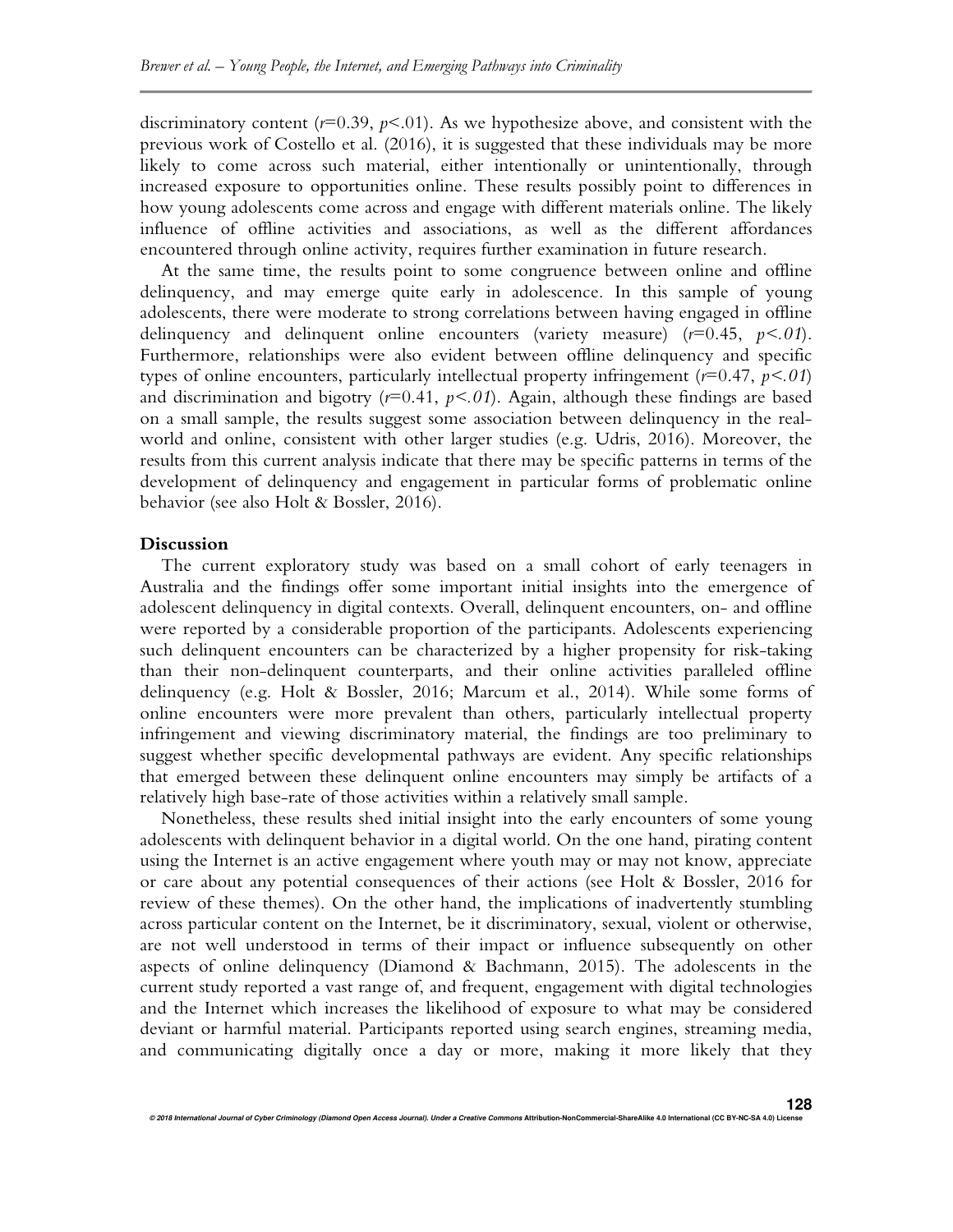discriminatory content  $(r=0.39, p<0.1)$ . As we hypothesize above, and consistent with the previous work of Costello et al. (2016), it is suggested that these individuals may be more likely to come across such material, either intentionally or unintentionally, through increased exposure to opportunities online. These results possibly point to differences in how young adolescents come across and engage with different materials online. The likely influence of offline activities and associations, as well as the different affordances encountered through online activity, requires further examination in future research.

At the same time, the results point to some congruence between online and offline delinquency, and may emerge quite early in adolescence. In this sample of young adolescents, there were moderate to strong correlations between having engaged in offline delinquency and delinquent online encounters (variety measure) (*r*=0.45, *p<.01*). Furthermore, relationships were also evident between offline delinquency and specific types of online encounters, particularly intellectual property infringement (*r*=0.47, *p<.01*) and discrimination and bigotry  $(r=0.41, p<0.1)$ . Again, although these findings are based on a small sample, the results suggest some association between delinquency in the realworld and online, consistent with other larger studies (e.g. Udris, 2016). Moreover, the results from this current analysis indicate that there may be specific patterns in terms of the development of delinquency and engagement in particular forms of problematic online behavior (see also Holt & Bossler, 2016).

#### **Discussion**

The current exploratory study was based on a small cohort of early teenagers in Australia and the findings offer some important initial insights into the emergence of adolescent delinquency in digital contexts. Overall, delinquent encounters, on- and offline were reported by a considerable proportion of the participants. Adolescents experiencing such delinquent encounters can be characterized by a higher propensity for risk-taking than their non-delinquent counterparts, and their online activities paralleled offline delinquency (e.g. Holt & Bossler, 2016; Marcum et al., 2014). While some forms of online encounters were more prevalent than others, particularly intellectual property infringement and viewing discriminatory material, the findings are too preliminary to suggest whether specific developmental pathways are evident. Any specific relationships that emerged between these delinquent online encounters may simply be artifacts of a relatively high base-rate of those activities within a relatively small sample.

Nonetheless, these results shed initial insight into the early encounters of some young adolescents with delinquent behavior in a digital world. On the one hand, pirating content using the Internet is an active engagement where youth may or may not know, appreciate or care about any potential consequences of their actions (see Holt & Bossler, 2016 for review of these themes). On the other hand, the implications of inadvertently stumbling across particular content on the Internet, be it discriminatory, sexual, violent or otherwise, are not well understood in terms of their impact or influence subsequently on other aspects of online delinquency (Diamond & Bachmann, 2015). The adolescents in the current study reported a vast range of, and frequent, engagement with digital technologies and the Internet which increases the likelihood of exposure to what may be considered deviant or harmful material. Participants reported using search engines, streaming media, and communicating digitally once a day or more, making it more likely that they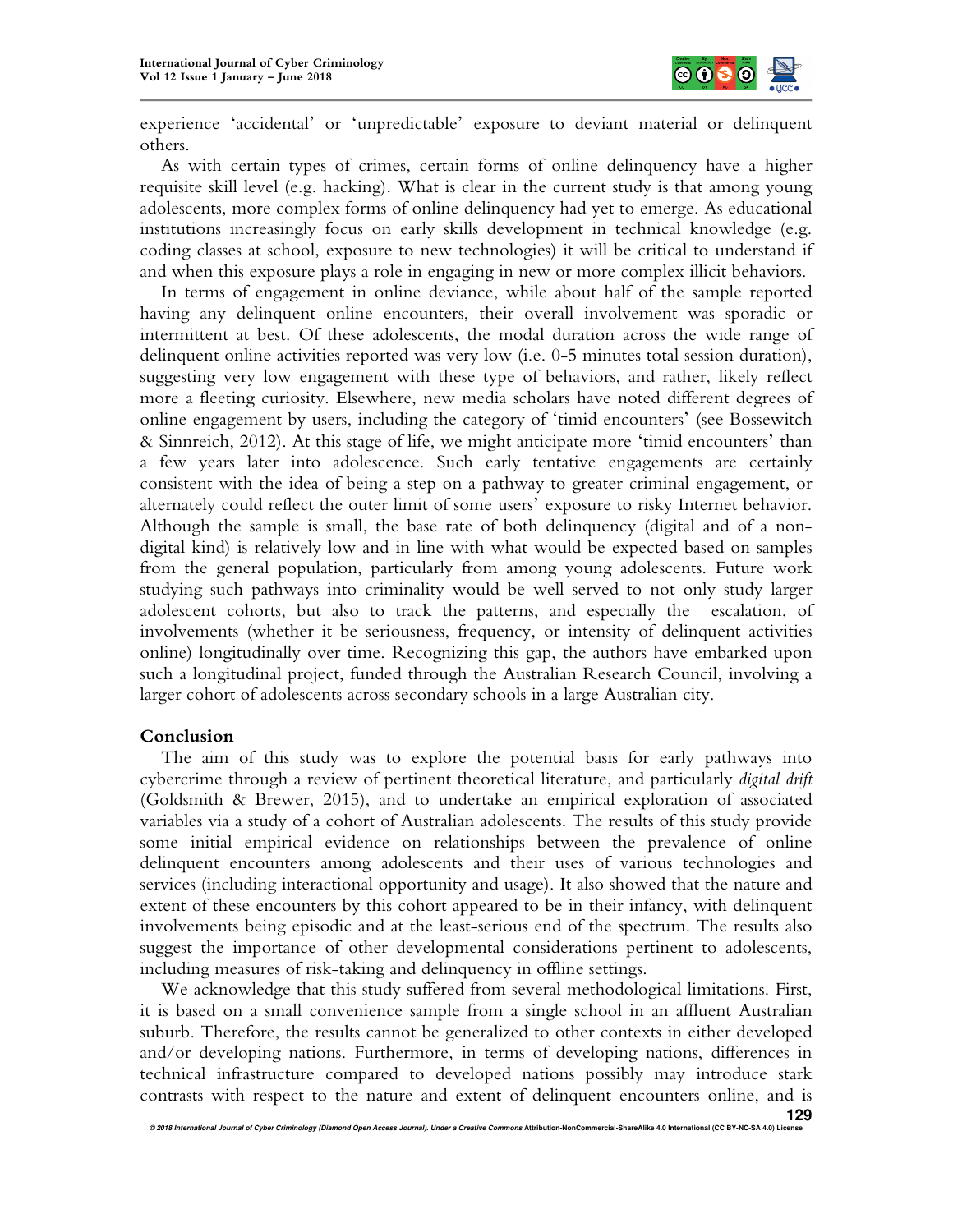

experience 'accidental' or 'unpredictable' exposure to deviant material or delinquent others.

As with certain types of crimes, certain forms of online delinquency have a higher requisite skill level (e.g. hacking). What is clear in the current study is that among young adolescents, more complex forms of online delinquency had yet to emerge. As educational institutions increasingly focus on early skills development in technical knowledge (e.g. coding classes at school, exposure to new technologies) it will be critical to understand if and when this exposure plays a role in engaging in new or more complex illicit behaviors.

In terms of engagement in online deviance, while about half of the sample reported having any delinquent online encounters, their overall involvement was sporadic or intermittent at best. Of these adolescents, the modal duration across the wide range of delinquent online activities reported was very low (i.e. 0-5 minutes total session duration), suggesting very low engagement with these type of behaviors, and rather, likely reflect more a fleeting curiosity. Elsewhere, new media scholars have noted different degrees of online engagement by users, including the category of 'timid encounters' (see Bossewitch & Sinnreich, 2012). At this stage of life, we might anticipate more 'timid encounters' than a few years later into adolescence. Such early tentative engagements are certainly consistent with the idea of being a step on a pathway to greater criminal engagement, or alternately could reflect the outer limit of some users' exposure to risky Internet behavior. Although the sample is small, the base rate of both delinquency (digital and of a nondigital kind) is relatively low and in line with what would be expected based on samples from the general population, particularly from among young adolescents. Future work studying such pathways into criminality would be well served to not only study larger adolescent cohorts, but also to track the patterns, and especially the escalation, of involvements (whether it be seriousness, frequency, or intensity of delinquent activities online) longitudinally over time. Recognizing this gap, the authors have embarked upon such a longitudinal project, funded through the Australian Research Council, involving a larger cohort of adolescents across secondary schools in a large Australian city.

#### **Conclusion**

The aim of this study was to explore the potential basis for early pathways into cybercrime through a review of pertinent theoretical literature, and particularly *digital drift* (Goldsmith & Brewer, 2015), and to undertake an empirical exploration of associated variables via a study of a cohort of Australian adolescents. The results of this study provide some initial empirical evidence on relationships between the prevalence of online delinquent encounters among adolescents and their uses of various technologies and services (including interactional opportunity and usage). It also showed that the nature and extent of these encounters by this cohort appeared to be in their infancy, with delinquent involvements being episodic and at the least-serious end of the spectrum. The results also suggest the importance of other developmental considerations pertinent to adolescents, including measures of risk-taking and delinquency in offline settings.

We acknowledge that this study suffered from several methodological limitations. First, it is based on a small convenience sample from a single school in an affluent Australian suburb. Therefore, the results cannot be generalized to other contexts in either developed and/or developing nations. Furthermore, in terms of developing nations, differences in technical infrastructure compared to developed nations possibly may introduce stark contrasts with respect to the nature and extent of delinquent encounters online, and is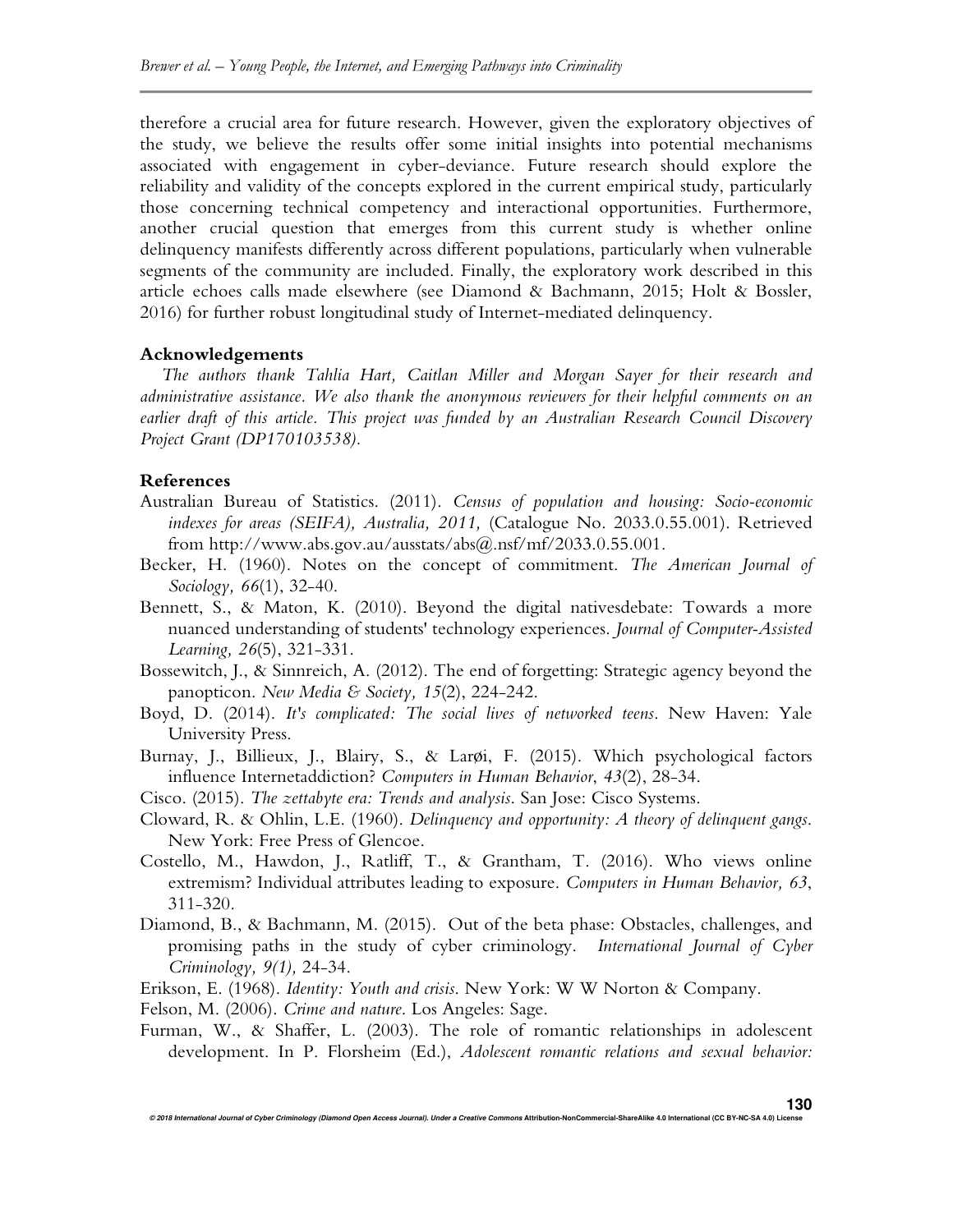therefore a crucial area for future research. However, given the exploratory objectives of the study, we believe the results offer some initial insights into potential mechanisms associated with engagement in cyber-deviance. Future research should explore the reliability and validity of the concepts explored in the current empirical study, particularly those concerning technical competency and interactional opportunities. Furthermore, another crucial question that emerges from this current study is whether online delinquency manifests differently across different populations, particularly when vulnerable segments of the community are included. Finally, the exploratory work described in this article echoes calls made elsewhere (see Diamond & Bachmann, 2015; Holt & Bossler, 2016) for further robust longitudinal study of Internet-mediated delinquency.

#### **Acknowledgements**

*The authors thank Tahlia Hart, Caitlan Miller and Morgan Sayer for their research and administrative assistance. We also thank the anonymous reviewers for their helpful comments on an earlier draft of this article. This project was funded by an Australian Research Council Discovery Project Grant (DP170103538).* 

## **References**

- Australian Bureau of Statistics. (2011). *Census of population and housing: Socio-economic indexes for areas (SEIFA), Australia, 2011,* (Catalogue No. 2033.0.55.001). Retrieved from http://www.abs.gov.au/ausstats/abs@.nsf/mf/2033.0.55.001.
- Becker, H. (1960). Notes on the concept of commitment. *The American Journal of Sociology, 66*(1), 32-40.
- Bennett, S., & Maton, K. (2010). Beyond the digital nativesdebate: Towards a more nuanced understanding of students' technology experiences. *Journal of Computer-Assisted Learning, 26*(5), 321-331.
- Bossewitch, J., & Sinnreich, A. (2012). The end of forgetting: Strategic agency beyond the panopticon. *New Media & Society, 15*(2), 224-242.
- Boyd, D. (2014). *It's complicated: The social lives of networked teens*. New Haven: Yale University Press.
- Burnay, J., Billieux, J., Blairy, S., & Larøi, F. (2015). Which psychological factors influence Internetaddiction? *Computers in Human Behavior*, *43*(2), 28-34.
- Cisco. (2015). *The zettabyte era: Trends and analysis*. San Jose: Cisco Systems.
- Cloward, R. & Ohlin, L.E. (1960). *Delinquency and opportunity: A theory of delinquent gangs*. New York: Free Press of Glencoe.
- Costello, M., Hawdon, J., Ratliff, T., & Grantham, T. (2016). Who views online extremism? Individual attributes leading to exposure. *Computers in Human Behavior, 63*, 311-320.
- Diamond, B., & Bachmann, M. (2015). Out of the beta phase: Obstacles, challenges, and promising paths in the study of cyber criminology. *International Journal of Cyber Criminology, 9(1),* 24-34.
- Erikson, E. (1968). *Identity: Youth and crisis*. New York: W W Norton & Company.
- Felson, M. (2006). *Crime and nature*. Los Angeles: Sage.
- Furman, W., & Shaffer, L. (2003). The role of romantic relationships in adolescent development. In P. Florsheim (Ed.), *Adolescent romantic relations and sexual behavior:*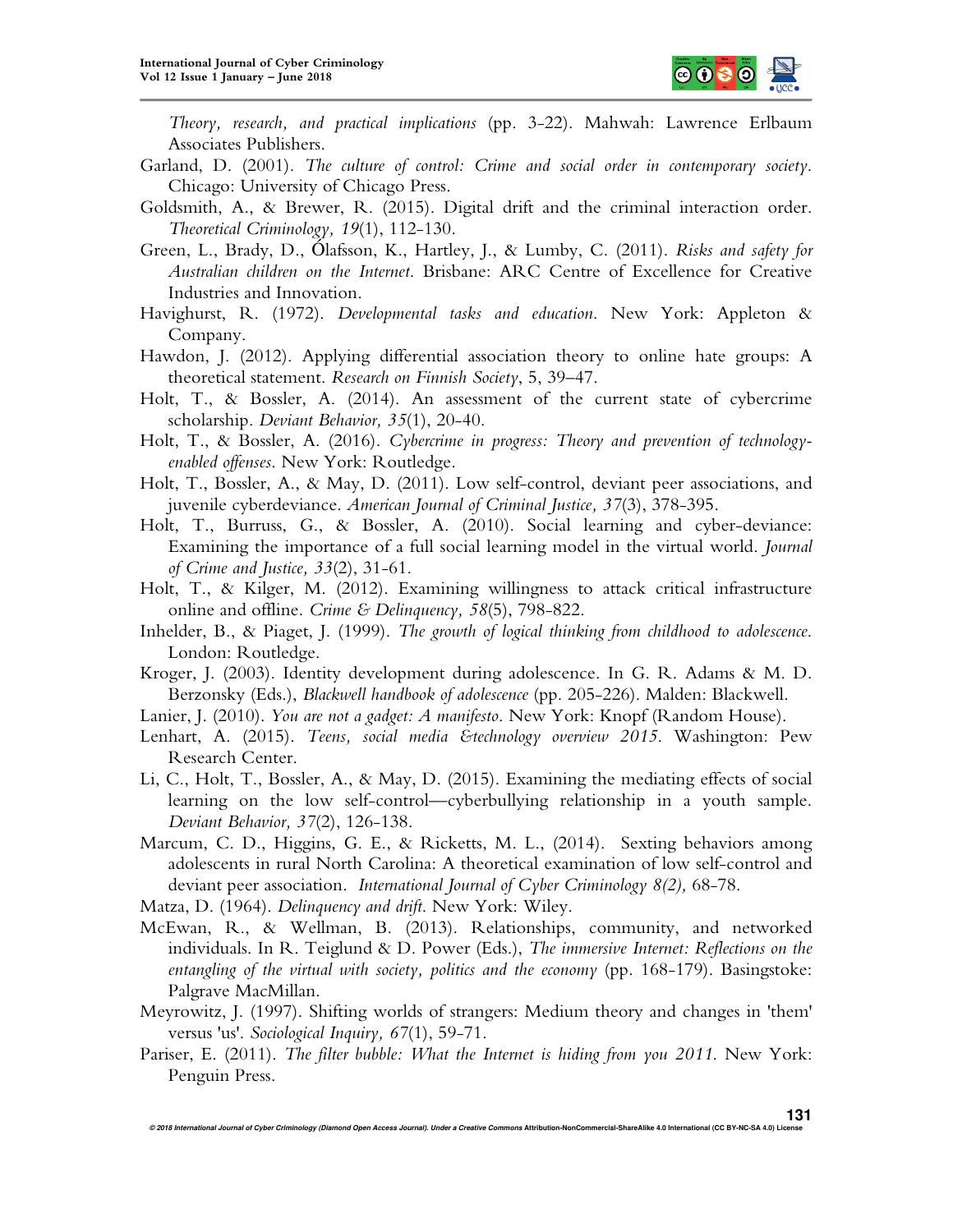

*Theory, research, and practical implications* (pp. 3-22). Mahwah: Lawrence Erlbaum Associates Publishers.

- Garland, D. (2001). *The culture of control: Crime and social order in contemporary society*. Chicago: University of Chicago Press.
- Goldsmith, A., & Brewer, R. (2015). Digital drift and the criminal interaction order. *Theoretical Criminology, 19*(1), 112-130.
- Green, L., Brady, D., Ólafsson, K., Hartley, J., & Lumby, C. (2011). *Risks and safety for Australian children on the Internet*. Brisbane: ARC Centre of Excellence for Creative Industries and Innovation.
- Havighurst, R. (1972). *Developmental tasks and education*. New York: Appleton & Company.
- Hawdon, J. (2012). Applying differential association theory to online hate groups: A theoretical statement. *Research on Finnish Society*, 5, 39–47.
- Holt, T., & Bossler, A. (2014). An assessment of the current state of cybercrime scholarship. *Deviant Behavior, 35*(1), 20-40.
- Holt, T., & Bossler, A. (2016). *Cybercrime in progress: Theory and prevention of technologyenabled offenses*. New York: Routledge.
- Holt, T., Bossler, A., & May, D. (2011). Low self-control, deviant peer associations, and juvenile cyberdeviance. *American Journal of Criminal Justice, 37*(3), 378-395.
- Holt, T., Burruss, G., & Bossler, A. (2010). Social learning and cyber-deviance: Examining the importance of a full social learning model in the virtual world. *Journal of Crime and Justice, 33*(2), 31-61.
- Holt, T., & Kilger, M. (2012). Examining willingness to attack critical infrastructure online and offline. *Crime & Delinquency, 58*(5), 798-822.
- Inhelder, B., & Piaget, J. (1999). *The growth of logical thinking from childhood to adolescence*. London: Routledge.
- Kroger, J. (2003). Identity development during adolescence. In G. R. Adams & M. D. Berzonsky (Eds.), *Blackwell handbook of adolescence* (pp. 205-226). Malden: Blackwell.
- Lanier, J. (2010). *You are not a gadget: A manifesto*. New York: Knopf (Random House).
- Lenhart, A. (2015). *Teens, social media &technology overview 2015*. Washington: Pew Research Center.
- Li, C., Holt, T., Bossler, A., & May, D. (2015). Examining the mediating effects of social learning on the low self-control—cyberbullying relationship in a youth sample. *Deviant Behavior, 37*(2), 126-138.
- Marcum, C. D., Higgins, G. E., & Ricketts, M. L., (2014). Sexting behaviors among adolescents in rural North Carolina: A theoretical examination of low self-control and deviant peer association. *International Journal of Cyber Criminology 8(2),* 68-78.
- Matza, D. (1964). *Delinquency and drift*. New York: Wiley.
- McEwan, R., & Wellman, B. (2013). Relationships, community, and networked individuals. In R. Teiglund & D. Power (Eds.), *The immersive Internet: Reflections on the entangling of the virtual with society, politics and the economy* (pp. 168-179). Basingstoke: Palgrave MacMillan.
- Meyrowitz, J. (1997). Shifting worlds of strangers: Medium theory and changes in 'them' versus 'us'. *Sociological Inquiry, 67*(1), 59-71.
- Pariser, E. (2011). *The filter bubble: What the Internet is hiding from you 2011*. New York: Penguin Press.

**131**